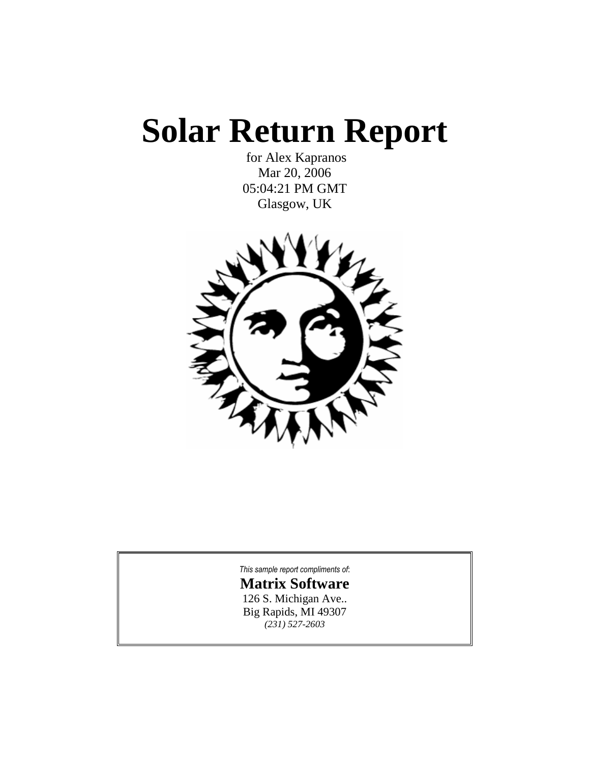# **Solar Return Report**

for Alex Kapranos Mar 20, 2006 05:04:21 PM GMT Glasgow, UK



*This sample report [compliments](http://www.astrologysoftware.com/software/rws/solar/pro_solar.asp?orig=) of*:

**Matrix [Software](http://www.astrologysoftware.com/software/rws/solar/pro_solar.asp?orig=)** 126 S. [Michigan](http://www.astrologysoftware.com/software/rws/solar/pro_solar.asp?orig=) Ave.. Big [Rapids,](http://www.astrologysoftware.com/software/rws/solar/pro_solar.asp?orig=) MI 49307 *(231) [527-2603](http://www.astrologysoftware.com/software/rws/solar/pro_solar.asp?orig=)*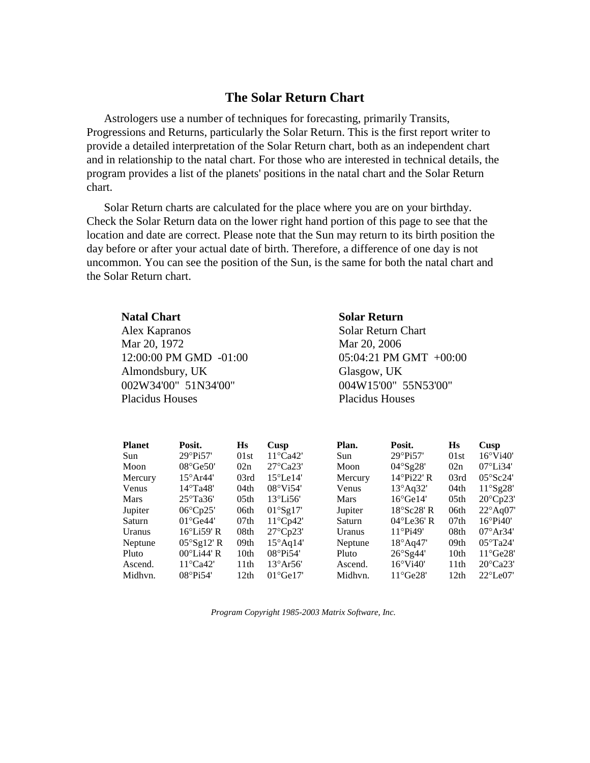# **The Solar Return Chart**

Astrologers use a number of techniques for forecasting, primarily Transits, Progressions and Returns, particularly the Solar Return. This is the first report writer to provide a detailed interpretation of the Solar Return chart, both as an independent chart and in relationship to the natal chart. For those who are interested in technical details, the program provides a list of the planets' positions in the natal chart and the Solar Return chart.

Solar Return charts are calculated for the place where you are on your birthday. Check the Solar Return data on the lower right hand portion of this page to see that the location and date are correct. Please note that the Sun may return to its birth position the day before or after your actual date of birth. Therefore, a difference of one day is not uncommon. You can see the position of the Sun, is the same for both the natal chart and the Solar Return chart.

# **Natal Chart Solar Return** Alex Kapranos Solar Return Chart Mar 20, 1972 Mar 20, 2006 12:00:00 PM GMD -01:00 05:04:21 PM GMT +00:00 Almondsbury, UK Glasgow, UK 002W34'00" 51N34'00" 004W15'00" 55N53'00" Placidus Houses Placidus Houses

| <b>Planet</b> | Posit.               | Hs               | Cusp                  | Plan.   | Posit.                  | $\bf{H}s$        | Cusp               |
|---------------|----------------------|------------------|-----------------------|---------|-------------------------|------------------|--------------------|
| Sun           | $29^{\circ}$ Pi57'   | 01st             | $11^{\circ}$ Ca42'    | Sun     | 29°Pi57'                | 01st             | $16^{\circ}$ Vi40' |
| Moon          | $08^{\circ}$ Ge50'   | 02n              | $27^{\circ}$ Ca23'    | Moon    | $04^{\circ}$ Sg28'      | 02n              | $07^{\circ}$ Li34' |
| Mercury       | $15^{\circ}$ Ar44'   | 03rd             | $15^{\circ}$ Le $14'$ | Mercury | $14^{\circ}$ Pi22' R    | 03rd             | $05^{\circ}$ Sc24' |
| Venus         | $14^{\circ}$ Ta48'   | 04th             | $08^{\circ}$ Vi54'    | Venus   | $13^{\circ}$ Aq32'      | 04th             | $11^{\circ}$ Sg28' |
| Mars          | $25^{\circ}$ Ta36'   | 05 <sub>th</sub> | $13^{\circ}$ Li56'    | Mars    | $16^{\circ}$ Ge $14'$   | 05 <sub>th</sub> | $20^{\circ}$ Cp23' |
| Jupiter       | $06^{\circ}$ Cp25'   | 06th             | $01^{\circ}$ Sg17'    | Jupiter | $18^{\circ}$ Sc28' R    | 06th             | $22^{\circ}$ Aq07' |
| Saturn        | $01^{\circ}$ Ge44'   | 07th             | $11^{\circ}$ Cp42'    | Saturn  | $04^{\circ}$ Le $36'$ R | 07th             | $16^{\circ}$ Pi40' |
| Uranus        | $16^{\circ}$ Li59' R | 08th             | $27^{\circ}Cp23'$     | Uranus  | $11^{\circ}$ Pi49'      | 08th             | $07^{\circ}Ar34'$  |
| Neptune       | $05^{\circ}$ Sg12' R | 09th             | $15^{\circ}$ Aq14'    | Neptune | $18^{\circ}$ Aq47'      | 09 <sub>th</sub> | $05^{\circ}$ Ta24' |
| Pluto         | $00^{\circ}$ Li44' R | 10 <sub>th</sub> | $08^{\circ}Pi54'$     | Pluto   | 26°Sg44'                | 10 <sub>th</sub> | $11^{\circ}$ Ge28' |
| Ascend.       | $11^{\circ}$ Ca42'   | 11 <sup>th</sup> | $13^{\circ}Ar56'$     | Ascend. | $16^{\circ}$ Vi40'      | 11 <sup>th</sup> | $20^{\circ}$ Ca23' |
| Midhyn.       | $08^{\circ}$ Pi54'   | 12th             | $01^{\circ}$ Ge $17'$ | Midhvn. | $11^{\circ}$ Ge28'      | 12th             | $22^{\circ}$ Le07' |

*Program Copyright 1985-2003 Matrix Software, Inc.*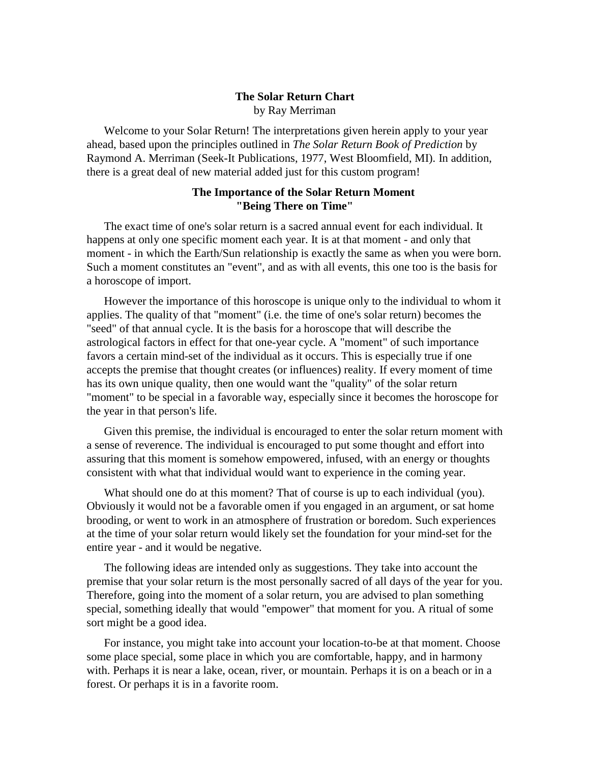# **The Solar Return Chart**

by Ray Merriman

Welcome to your Solar Return! The interpretations given herein apply to your year ahead, based upon the principles outlined in *The Solar Return Book of Prediction* by Raymond A. Merriman (Seek-It Publications, 1977, West Bloomfield, MI). In addition, there is a great deal of new material added just for this custom program!

# **The Importance of the Solar Return Moment "Being There on Time"**

The exact time of one's solar return is a sacred annual event for each individual. It happens at only one specific moment each year. It is at that moment - and only that moment - in which the Earth/Sun relationship is exactly the same as when you were born. Such a moment constitutes an "event", and as with all events, this one too is the basis for a horoscope of import.

However the importance of this horoscope is unique only to the individual to whom it applies. The quality of that "moment" (i.e. the time of one's solar return) becomes the "seed" of that annual cycle. It is the basis for a horoscope that will describe the astrological factors in effect for that one-year cycle. A "moment" of such importance favors a certain mind-set of the individual as it occurs. This is especially true if one accepts the premise that thought creates (or influences) reality. If every moment of time has its own unique quality, then one would want the "quality" of the solar return "moment" to be special in a favorable way, especially since it becomes the horoscope for the year in that person's life.

Given this premise, the individual is encouraged to enter the solar return moment with a sense of reverence. The individual is encouraged to put some thought and effort into assuring that this moment is somehow empowered, infused, with an energy or thoughts consistent with what that individual would want to experience in the coming year.

What should one do at this moment? That of course is up to each individual (you). Obviously it would not be a favorable omen if you engaged in an argument, or sat home brooding, or went to work in an atmosphere of frustration or boredom. Such experiences at the time of your solar return would likely set the foundation for your mind-set for the entire year - and it would be negative.

The following ideas are intended only as suggestions. They take into account the premise that your solar return is the most personally sacred of all days of the year for you. Therefore, going into the moment of a solar return, you are advised to plan something special, something ideally that would "empower" that moment for you. A ritual of some sort might be a good idea.

For instance, you might take into account your location-to-be at that moment. Choose some place special, some place in which you are comfortable, happy, and in harmony with. Perhaps it is near a lake, ocean, river, or mountain. Perhaps it is on a beach or in a forest. Or perhaps it is in a favorite room.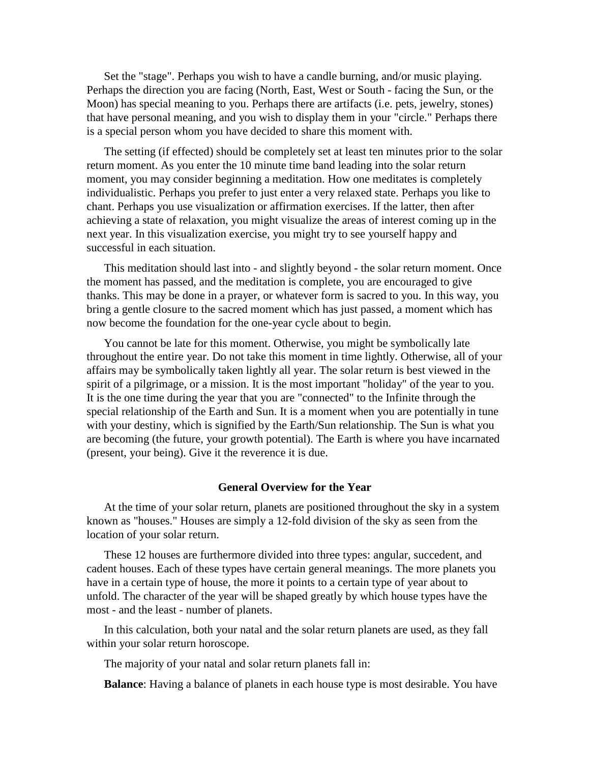Set the "stage". Perhaps you wish to have a candle burning, and/or music playing. Perhaps the direction you are facing (North, East, West or South - facing the Sun, or the Moon) has special meaning to you. Perhaps there are artifacts (i.e. pets, jewelry, stones) that have personal meaning, and you wish to display them in your "circle." Perhaps there is a special person whom you have decided to share this moment with.

The setting (if effected) should be completely set at least ten minutes prior to the solar return moment. As you enter the 10 minute time band leading into the solar return moment, you may consider beginning a meditation. How one meditates is completely individualistic. Perhaps you prefer to just enter a very relaxed state. Perhaps you like to chant. Perhaps you use visualization or affirmation exercises. If the latter, then after achieving a state of relaxation, you might visualize the areas of interest coming up in the next year. In this visualization exercise, you might try to see yourself happy and successful in each situation.

This meditation should lastinto - and slightly beyond - the solar return moment. Once the moment has passed, and the meditation is complete, you are encouraged to give thanks. This may be done in a prayer, or whatever form is sacred to you. In this way, you bring a gentle closure to the sacred moment which has just passed, a moment which has now become the foundation for the one-year cycle about to begin.

You cannot be late for this moment. Otherwise, you might be symbolically late throughout the entire year. Do not take this moment in time lightly. Otherwise, all of your affairs may be symbolically taken lightly all year. The solar return is best viewed in the spirit of a pilgrimage, or a mission. It is the most important "holiday" of the year to you. It is the one time during the year that you are "connected" to the Infinite through the special relationship of the Earth and Sun. It is a moment when you are potentially in tune with your destiny, which is signified by the Earth/Sun relationship. The Sun is what you are becoming (the future, your growth potential). The Earth is where you have incarnated (present, your being). Give it the reverence it is due.

#### **General Overview for the Year**

At the time of your solar return, planets are positioned throughout the sky in a system known as "houses." Houses are simply a 12-fold division of the sky as seen from the location of your solar return.

These 12 houses are furthermore divided into three types: angular, succedent, and cadent houses. Each of these types have certain general meanings. The more planets you have in a certain type of house, the more it points to a certain type of year about to unfold. The character of the year will be shaped greatly by which house types have the most - and the least - number of planets.

In this calculation, both your natal and the solar return planets are used, as they fall within your solar return horoscope.

The majority of your natal and solar return planets fall in:

**Balance**: Having a balance of planets in each house type is most desirable. You have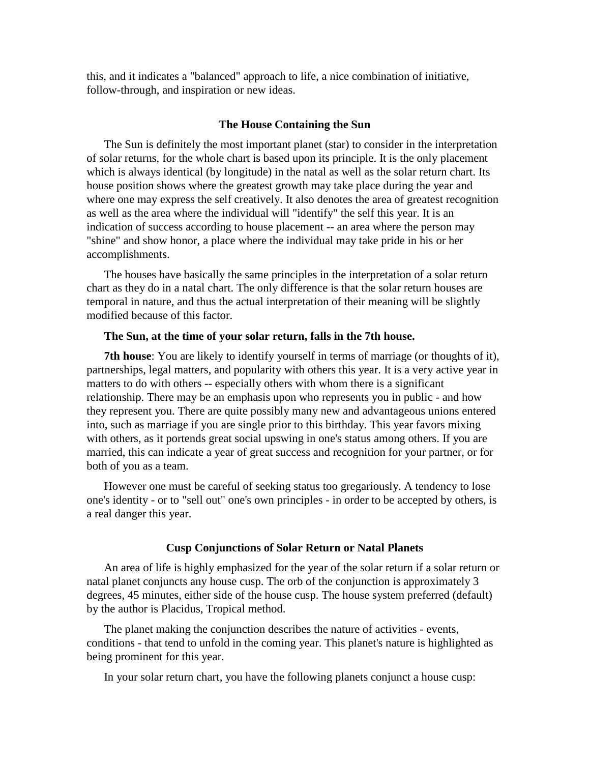this, and it indicates a "balanced" approach to life, a nice combination of initiative, follow-through, and inspiration or new ideas.

#### **The House Containing the Sun**

The Sun is definitely the most important planet (star) to consider in the interpretation of solar returns, for the whole chart is based upon its principle. It is the only placement which is always identical (by longitude) in the natal as well as the solar return chart. Its house position shows where the greatest growth may take place during the year and where one may express the self creatively. It also denotes the area of greatest recognition as well as the area where the individual will "identify" the self this year. It is an indication of success according to house placement -- an area where the person may "shine" and show honor, a place where the individual may take pride in his or her accomplishments.

The houses have basically the same principles in the interpretation of a solar return chart as they do in a natal chart. The only difference is that the solar return houses are temporal in nature, and thus the actual interpretation of their meaning will be slightly modified because of this factor.

# **The Sun, at the time of your solar return, falls in the 7th house.**

**7th house**: You are likely to identify yourself in terms of marriage (or thoughts of it), partnerships, legal matters, and popularity with others this year. It is a very active year in matters to do with others -- especially others with whom there is a significant relationship. There may be an emphasis upon who represents you in public - and how they represent you. There are quite possibly many new and advantageous unions entered into, such as marriage if you are single prior to this birthday. This year favors mixing with others, as it portends great social upswing in one's status among others. If you are married, this can indicate a year of great success and recognition for your partner, or for both of you as a team.

However one must be careful of seeking status too gregariously. A tendency to lose one's identity - or to "sell out" one's own principles - in order to be accepted by others, is a real danger this year.

#### **Cusp Conjunctions of Solar Return or Natal Planets**

An area of life is highly emphasized for the year of the solar return if a solar return or natal planet conjuncts any house cusp. The orb of the conjunction is approximately 3 degrees, 45 minutes, either side of the house cusp. The house system preferred (default) by the author is Placidus, Tropical method.

The planet making the conjunction describes the nature of activities - events, conditions - that tend to unfold in the coming year. This planet's nature is highlighted as being prominent for this year.

In your solar return chart, you have the following planets conjunct a house cusp: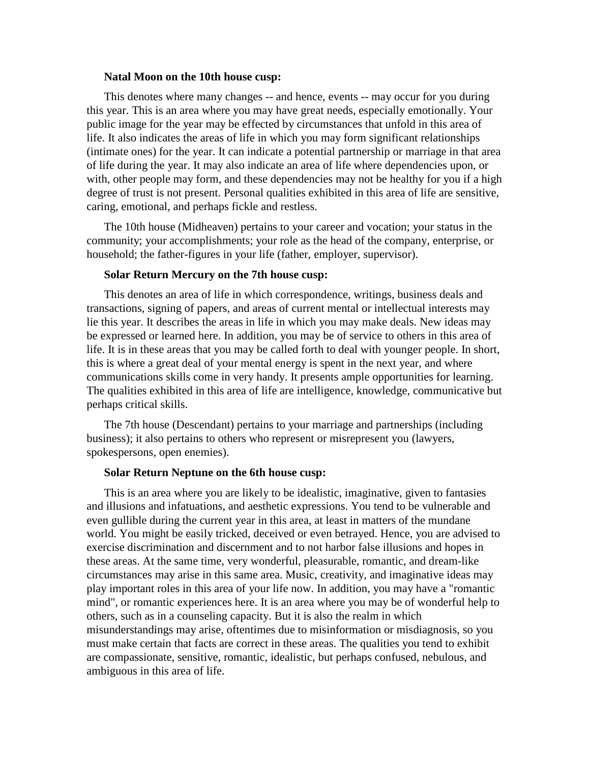#### **Natal Moon on the 10th house cusp:**

This denotes where many changes -- and hence, events -- may occur for you during this year. This is an area where you may have great needs, especially emotionally. Your public image for the year may be effected by circumstances that unfold in this area of life. It also indicates the areas of life in which you may form significant relationships (intimate ones) for the year. It can indicate a potential partnership or marriage in that area of life during the year. It may also indicate an area of life where dependencies upon, or with, other people may form, and these dependencies may not be healthy for you if a high degree of trust is not present. Personal qualities exhibited in this area of life are sensitive, caring, emotional, and perhaps fickle and restless.

The 10th house (Midheaven) pertains to your career and vocation; your status in the community; your accomplishments; your role as the head of the company, enterprise, or household; the father-figures in your life (father, employer, supervisor).

#### **Solar Return Mercury on the 7th house cusp:**

This denotes an area of life in which correspondence, writings, business deals and transactions, signing of papers, and areas of current mental or intellectual interests may lie this year. It describes the areas in life in which you may make deals. New ideas may be expressed or learned here. In addition, you may be of service to others in this area of life. It is in these areas that you may be called forth to deal with younger people. In short, this is where a great deal of your mental energy is spent in the next year, and where communications skills come in very handy. It presents ample opportunities for learning. The qualities exhibited in this area of life are intelligence, knowledge, communicative but perhaps critical skills.

The 7th house (Descendant) pertains to your marriage and partnerships (including business); it also pertains to others who represent or misrepresent you (lawyers, spokespersons, open enemies).

#### **Solar Return Neptune on the 6th house cusp:**

This is an area where you are likely to be idealistic, imaginative, given to fantasies and illusions and infatuations, and aesthetic expressions. You tend to be vulnerable and even gullible during the current year in this area, at least in matters of the mundane world. You might be easily tricked, deceived or even betrayed. Hence, you are advised to exercise discrimination and discernment and to not harbor false illusions and hopes in these areas. At the same time, very wonderful, pleasurable, romantic, and dream-like circumstances may arise in this same area. Music, creativity, and imaginative ideas may play important roles in this area of your life now. In addition, you may have a "romantic mind", or romantic experiences here. It is an area where you may be of wonderful help to others, such as in a counseling capacity. But it is also the realm in which misunderstandings may arise, oftentimes due to misinformation or misdiagnosis, so you must make certain that facts are correct in these areas. The qualities you tend to exhibit are compassionate, sensitive, romantic, idealistic, but perhaps confused, nebulous, and ambiguous in this area of life.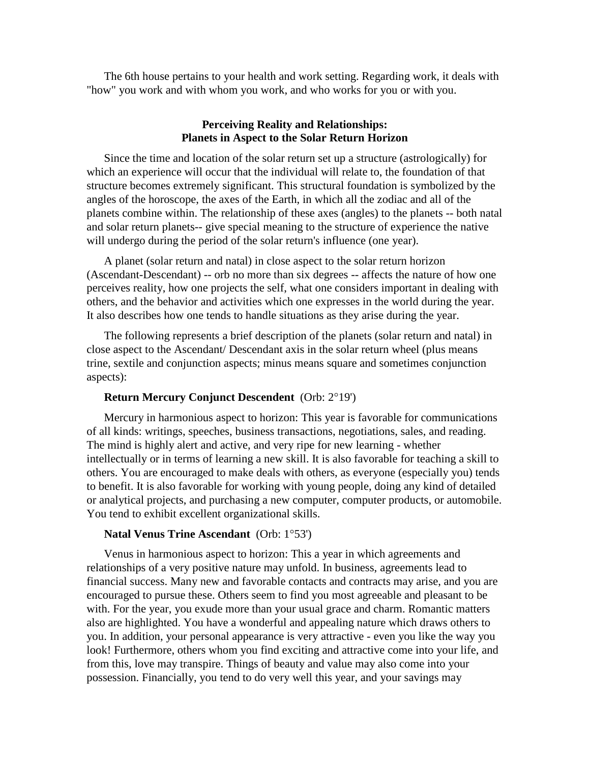The 6th house pertains to your health and work setting. Regarding work, it deals with "how" you work and with whom you work, and who works for you or with you.

# **Perceiving Reality and Relationships: Planets in Aspect to the Solar Return Horizon**

Since the time and location of the solar return set up a structure (astrologically) for which an experience will occur that the individual will relate to, the foundation of that structure becomes extremely significant. This structural foundation is symbolized by the angles of the horoscope, the axes of the Earth, in which all the zodiac and all of the planets combine within. The relationship of these axes (angles) to the planets -- both natal and solar return planets-- give special meaning to the structure of experience the native will undergo during the period of the solar return's influence (one year).

A planet (solar return and natal) in close aspect to the solar return horizon (Ascendant-Descendant) -- orb no more than six degrees -- affects the nature of how one perceives reality, how one projects the self, what one considers important in dealing with others, and the behavior and activities which one expresses in the world during the year. It also describes how one tends to handle situations as they arise during the year.

The following represents a brief description of the planets (solar return and natal) in close aspect to the Ascendant/ Descendant axis in the solar return wheel (plus means trine, sextile and conjunction aspects; minus means square and sometimes conjunction aspects):

# **Return Mercury Conjunct Descendent** (Orb: 2°19')

Mercury in harmonious aspect to horizon: This year is favorable for communications of all kinds: writings, speeches, business transactions, negotiations, sales, and reading. The mind is highly alert and active, and very ripe for new learning - whether intellectually or in terms of learning a new skill. It is also favorable for teaching a skill to others. You are encouraged to make deals with others, as everyone (especially you) tends to benefit. It is also favorable for working with young people, doing any kind of detailed or analytical projects, and purchasing a new computer, computer products, or automobile. You tend to exhibit excellent organizational skills.

#### **Natal Venus Trine Ascendant** (Orb: 1°53')

Venus in harmonious aspect to horizon: This a year in which agreements and relationships of a very positive nature may unfold. In business, agreements lead to financial success. Many new and favorable contacts and contracts may arise, and you are encouraged to pursue these. Others seem to find you most agreeable and pleasant to be with. For the year, you exude more than your usual grace and charm. Romantic matters also are highlighted. You have a wonderful and appealing nature which draws others to you. In addition, your personal appearance is very attractive - even you like the way you look! Furthermore, others whom you find exciting and attractive come into your life, and from this, love may transpire. Things of beauty and value may also come into your possession. Financially, you tend to do very well this year, and your savings may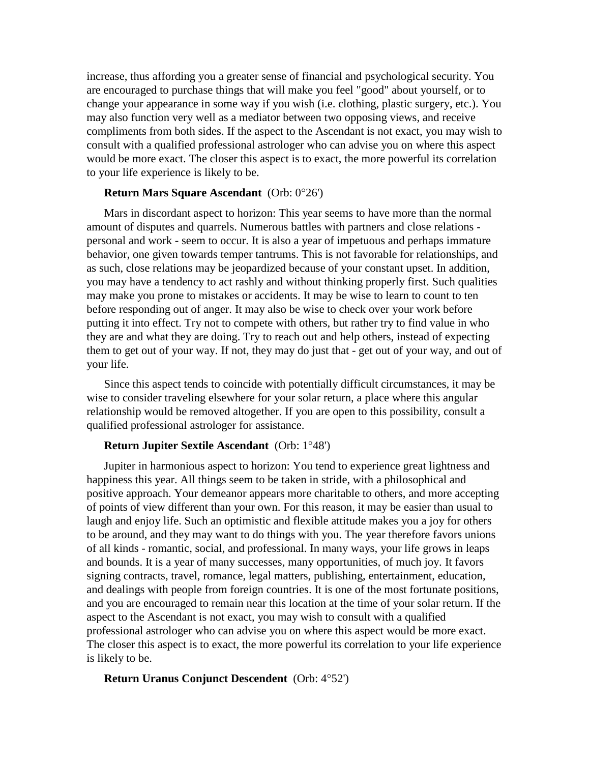increase, thus affording you a greater sense of financial and psychological security. You are encouraged to purchase things that will make you feel "good" about yourself, or to change your appearance in some way if you wish (i.e. clothing, plastic surgery, etc.). You may also function very well as a mediator between two opposing views, and receive compliments from both sides. If the aspect to the Ascendant is not exact, you may wish to consult with a qualified professional astrologer who can advise you on where this aspect would be more exact. The closer this aspect is to exact, the more powerful its correlation to your life experience is likely to be.

# **Return Mars Square Ascendant** (Orb: 0°26')

Mars in discordant aspect to horizon: This year seems to have more than the normal amount of disputes and quarrels. Numerous battles with partners and close relations personal and work - seem to occur. It is also a year of impetuous and perhaps immature behavior, one given towards temper tantrums. This is not favorable for relationships, and as such, close relations may be jeopardized because of your constant upset. In addition, you may have a tendency to act rashly and without thinking properly first. Such qualities may make you prone to mistakes or accidents. It may be wise to learn to count to ten before responding out of anger. It may also be wise to check over your work before putting it into effect. Try not to compete with others, but rather try to find value in who they are and what they are doing. Try to reach out and help others, instead of expecting them to get out of your way. If not, they may do just that - get out of your way, and out of your life.

Since this aspect tends to coincide with potentially difficult circumstances, it may be wise to consider traveling elsewhere for your solar return, a place where this angular relationship would be removed altogether. If you are open to this possibility, consult a qualified professional astrologer for assistance.

# **Return Jupiter Sextile Ascendant** (Orb: 1°48')

Jupiter in harmonious aspect to horizon: You tend to experience great lightness and happiness this year. All things seem to be taken in stride, with a philosophical and positive approach. Your demeanor appears more charitable to others, and more accepting of points of view different than your own. For this reason, it may be easier than usual to laugh and enjoy life. Such an optimistic and flexible attitude makes you a joy for others to be around, and they may want to do things with you. The year therefore favors unions of all kinds - romantic, social, and professional. In many ways, your life grows in leaps and bounds. It is a year of many successes, many opportunities, of much joy. It favors signing contracts, travel, romance, legal matters, publishing, entertainment, education, and dealings with people from foreign countries. It is one of the most fortunate positions, and you are encouraged to remain near this location at the time of your solar return. If the aspect to the Ascendant is not exact, you may wish to consult with a qualified professional astrologer who can advise you on where this aspect would be more exact. The closer this aspect is to exact, the more powerful its correlation to your life experience is likely to be.

#### **Return Uranus Conjunct Descendent** (Orb: 4°52')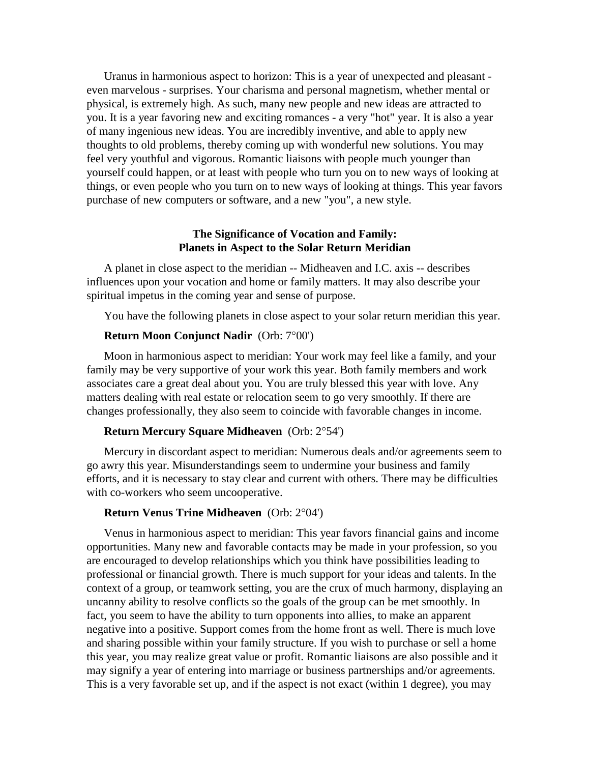Uranus in harmonious aspect to horizon: This is a year of unexpected and pleasant even marvelous - surprises. Your charisma and personal magnetism, whether mental or physical, is extremely high. As such, many new people and new ideas are attracted to you. It is a year favoring new and exciting romances - a very "hot" year. It is also a year of many ingenious new ideas. You are incredibly inventive, and able to apply new thoughts to old problems, thereby coming up with wonderful new solutions. You may feel very youthful and vigorous. Romantic liaisons with people much younger than yourself could happen, or at least with people who turn you on to new ways of looking at things, or even people who you turn on to new ways of looking at things. This year favors purchase of new computers or software, and a new "you", a new style.

# **The Significance of Vocation and Family: Planets in Aspect to the Solar Return Meridian**

A planet in close aspect to the meridian -- Midheaven and I.C. axis -- describes influences upon your vocation and home or family matters. It may also describe your spiritual impetus in the coming year and sense of purpose.

You have the following planets in close aspect to your solar return meridian this year.

# **Return Moon Conjunct Nadir** (Orb: 7°00')

Moon in harmonious aspect to meridian: Your work may feel like a family, and your family may be very supportive of your work this year. Both family members and work associates care a great deal about you. You are truly blessed this year with love. Any matters dealing with real estate or relocation seem to go very smoothly. If there are changes professionally, they also seem to coincide with favorable changes in income.

# **Return Mercury Square Midheaven** (Orb: 2°54')

Mercury in discordant aspect to meridian: Numerous deals and/or agreements seem to go awry this year. Misunderstandings seem to undermine your business and family efforts, and it is necessary to stay clear and current with others. There may be difficulties with co-workers who seem uncooperative.

#### **Return Venus Trine Midheaven** (Orb: 2°04')

Venus in harmonious aspect to meridian: This year favors financial gains and income opportunities. Many new and favorable contacts may be made in your profession, so you are encouraged to develop relationships which you think have possibilities leading to professional or financial growth. There is much support for your ideas and talents. In the context of a group, or teamwork setting, you are the crux of much harmony, displaying an uncanny ability to resolve conflicts so the goals of the group can be met smoothly. In fact, you seem to have the ability to turn opponents into allies, to make an apparent negative into a positive. Support comes from the home front as well. There is much love and sharing possible within your family structure. If you wish to purchase or sell a home this year, you may realize great value or profit. Romantic liaisons are also possible and it may signify a year of entering into marriage or business partnerships and/or agreements. This is a very favorable set up, and if the aspect is not exact (within 1 degree), you may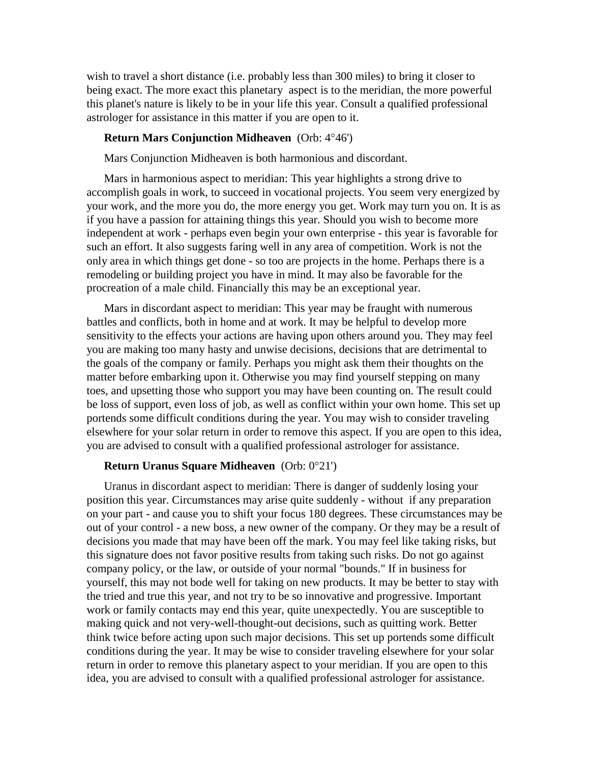wish to travel a short distance (i.e. probably less than 300 miles) to bring it closer to being exact. The more exact this planetary aspect is to the meridian, the more powerful this planet's nature is likely to be in your life this year. Consult a qualified professional astrologer for assistance in this matter if you are open to it.

# **Return Mars Conjunction Midheaven** (Orb: 4°46')

Mars Conjunction Midheaven is both harmonious and discordant.

Mars in harmonious aspect to meridian: This year highlights a strong drive to accomplish goals in work, to succeed in vocational projects. You seem veryenergized by your work, and the more you do, the more energy you get. Work may turn you on. It is as if you have a passion for attaining things this year. Should you wish to become more independent at work - perhaps even begin your own enterprise - this year is favorable for such an effort. It also suggests faring well in any area of competition. Work is not the only area in which things get done - so too are projects in the home. Perhaps there is a remodeling or building project you have in mind. It may also be favorable for the procreation of a male child. Financially this may be an exceptional year.

Mars in discordant aspect to meridian: This year may be fraught with numerous battles and conflicts, both in home and at work. It may be helpful to develop more sensitivity to the effects your actions are having upon others around you. They may feel you are making too many hasty and unwise decisions, decisions that are detrimental to the goals of the company or family. Perhaps you might ask them their thoughts on the matter before embarking upon it. Otherwise you may find yourself stepping on many toes, and upsetting those who support you may have been counting on. The result could be loss of support, even loss of job, as well as conflict within your own home. This set up portends some difficult conditions during the year. You may wish to consider traveling elsewhere for your solar return in order to remove this aspect. If you are open to this idea, you are advised to consult with a qualified professional astrologer for assistance.

#### **Return Uranus Square Midheaven** (Orb: 0°21')

Uranus in discordant aspect to meridian: There is danger of suddenly losing your position this year. Circumstances may arise quite suddenly - without if any preparation on your part - and cause you to shift your focus 180 degrees. These circumstances may be out of your control - a new boss, a new owner of the company. Or they may be a result of decisions you made that may have been off the mark. You may feel like taking risks, but this signature does not favor positive results from taking such risks. Do not go against company policy, or the law, or outside of your normal "bounds." If in business for yourself, this may not bode well for taking on new products. It may be better to stay with the tried and true this year, and not try to be so innovative and progressive. Important work or family contacts may end this year, quite unexpectedly. You are susceptible to making quick and not very-well-thought-out decisions, such as quitting work. Better think twice before acting upon such major decisions. This set up portends some difficult conditions during the year. It may be wise to consider traveling elsewhere for your solar return in order to remove this planetary aspect to your meridian. If you are open to this idea, you are advised to consult with a qualified professional astrologer for assistance.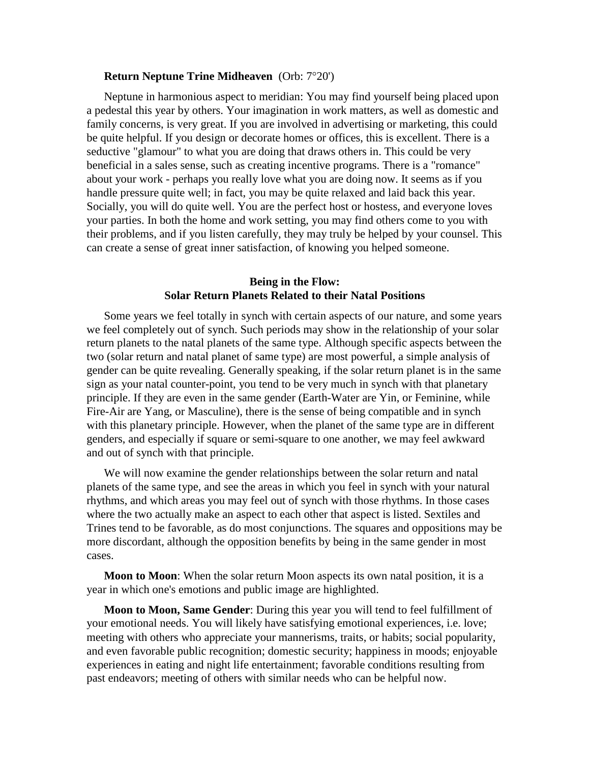## **Return Neptune Trine Midheaven** (Orb: 7°20')

Neptune in harmonious aspect to meridian: You may find yourself being placed upon a pedestal this year by others. Your imagination in work matters, as well as domestic and family concerns, is very great. If you are involved in advertising or marketing, this could be quite helpful. If you design or decorate homes or offices, this is excellent. There is a seductive "glamour" to what you are doing that draws others in. This could be very beneficial in a sales sense, such as creating incentive programs. There is a "romance" about your work - perhaps you really love what you are doing now. It seems as if you handle pressure quite well; in fact, you may be quite relaxed and laid back this year. Socially, you will do quite well. You are the perfect host or hostess, and everyone loves your parties. In both the home and work setting, you may find others come to you with their problems, and if you listen carefully, they may truly be helped by your counsel. This can create a sense of great inner satisfaction, of knowing you helped someone.

# **Being in the Flow: Solar Return Planets Related to their Natal Positions**

Some years we feel totally in synch with certain aspects of our nature, and some years we feel completely out of synch. Such periods may show in the relationship of your solar return planets to the natal planets of the same type. Although specific aspects between the two (solar return and natal planet of same type) are most powerful, a simple analysis of gender can be quite revealing. Generally speaking, if the solar return planet is in the same sign as your natal counter-point, you tend to be very much in synch with that planetary principle. If they are even in the same gender (Earth-Water are Yin, or Feminine, while Fire-Air are Yang, or Masculine), there is the sense of being compatible and in synch with this planetary principle. However, when the planet of the same type are in different genders, and especially if square or semi-square to one another, we may feel awkward and out of synch with that principle.

We will now examine the gender relationships between the solar return and natal planets of the same type, and see the areas in which you feel in synch with your natural rhythms, and which areas you may feel out of synch with those rhythms. In those cases where the two actually make an aspect to each other that aspect is listed. Sextiles and Trines tend to be favorable, as do most conjunctions. The squares and oppositions may be more discordant, although the opposition benefits by being in the same gender in most cases.

**Moon to Moon**: When the solar return Moon aspects its own natal position, it is a year in which one's emotions and public image are highlighted.

**Moon to Moon, Same Gender**: During this year you will tend to feel fulfillment of your emotional needs. You will likely have satisfying emotional experiences, i.e. love; meeting with others who appreciate your mannerisms, traits, or habits; social popularity, and even favorable public recognition; domestic security; happiness in moods; enjoyable experiences in eating and night life entertainment; favorable conditions resulting from past endeavors; meeting of others with similar needs who can be helpful now.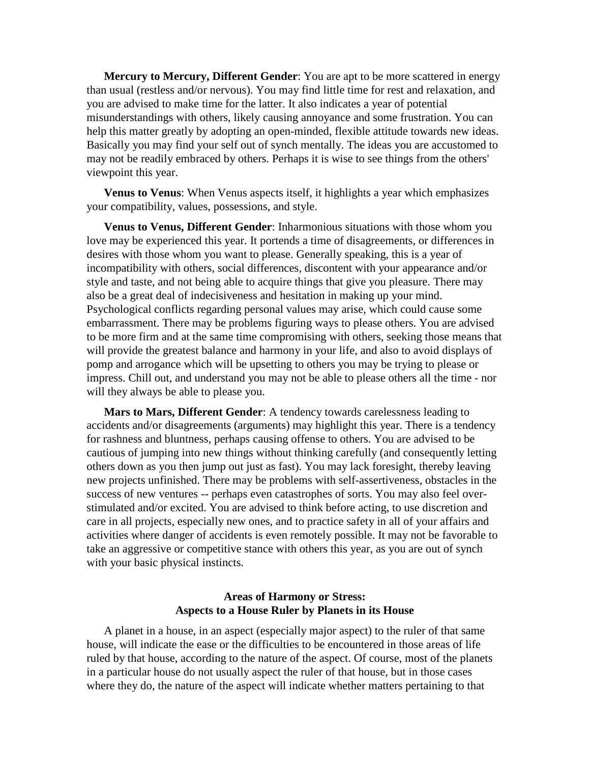**Mercury to Mercury, Different Gender**: You are apt to be more scattered in energy than usual (restless and/or nervous). You may find little time for rest and relaxation, and you are advised to make time for the latter. It also indicates a year of potential misunderstandings with others, likely causing annoyance and some frustration. You can help this matter greatly by adopting an open-minded, flexible attitude towards new ideas. Basically you may find your self out of synch mentally. The ideas you are accustomed to may not be readily embraced by others. Perhaps it is wise to see things from the others' viewpoint this year.

**Venus to Venus**: When Venus aspects itself, it highlights a year which emphasizes your compatibility, values, possessions, and style.

**Venus to Venus, Different Gender**: Inharmonious situations with those whom you love may be experienced this year. It portends a time of disagreements, or differences in desires with those whom you want to please. Generally speaking, this is a year of incompatibility with others, social differences, discontent with your appearance and/or style and taste, and not being able to acquire things that give you pleasure. There may also be a great deal of indecisiveness and hesitation in making up your mind. Psychological conflicts regarding personal values may arise, which could cause some embarrassment. There may be problems figuring ways to please others. You are advised to be more firm and at the same time compromising with others, seeking those means that will provide the greatest balance and harmony in your life, and also to avoid displays of pomp and arrogance which will be upsetting to others you may be trying to please or impress. Chill out, and understand you may not be able to please others all the time - nor will they always be able to please you.

**Mars to Mars, Different Gender**: A tendency towards carelessness leading to accidents and/or disagreements (arguments) may highlight this year. There is a tendency for rashness and bluntness, perhaps causing offense to others. You are advised to be cautious of jumping into new things without thinking carefully (and consequently letting others down as you then jump out just as fast). You may lack foresight, thereby leaving new projects unfinished. There may be problems with self-assertiveness, obstacles in the success of new ventures -- perhaps even catastrophes of sorts. You may also feel over stimulated and/or excited. You are advised to think before acting, to use discretion and care in all projects, especially new ones, and to practice safety in all of your affairs and activities where danger of accidents is even remotely possible. It may not be favorable to take an aggressive or competitive stance with others this year, as you are out of synch with your basic physical instincts.

# **Areas of Harmony or Stress: Aspects** to a House Ruler by Planets in its House

A planet in a house, in an aspect (especially major aspect) to the ruler of that same house, will indicate the ease or the difficulties to be encountered in those areas of life ruled by that house, according to the nature of the aspect. Of course, most of the planets in a particular house do not usually aspect the ruler of that house, but in those cases where they do, the nature of the aspect will indicate whether matters pertaining to that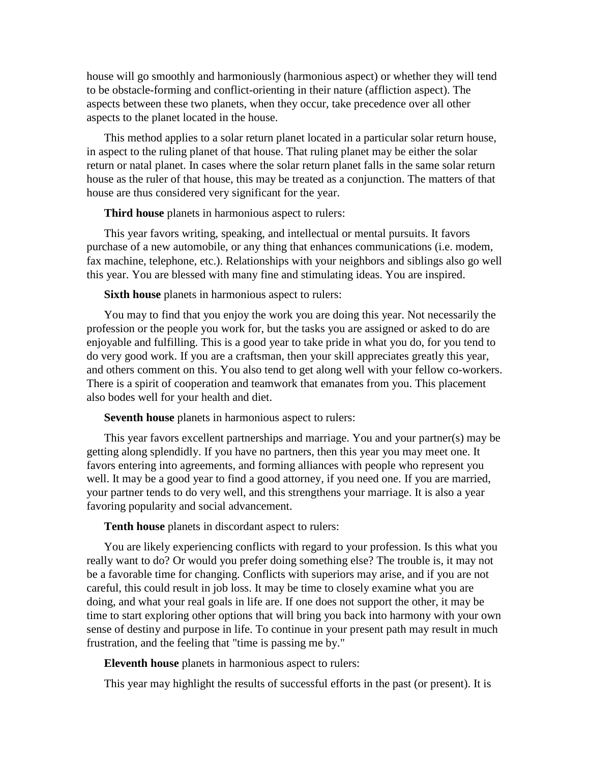house will go smoothly and harmoniously (harmonious aspect) or whether they will tend to be obstacle-forming and conflict-orienting in their nature (affliction aspect). The aspects between these two planets, when they occur, take precedence over all other aspects to the planet located in the house.

This method applies to a solar return planet located in a particular solar return house, in aspect to the ruling planet of that house. That ruling planet may be either the solar return or natal planet. In cases where the solar return planet falls in the same solar return house as the ruler of that house, this may be treated as a conjunction. The matters of that house are thus considered very significant for the year.

**Third house** planets in harmonious aspect to rulers:

This year favors writing, speaking, and intellectual or mental pursuits. It favors purchase of a new automobile, or any thing that enhances communications (i.e. modem, fax machine, telephone, etc.). Relationships with your neighbors and siblings also go well this year. You are blessed with many fine and stimulating ideas. You are inspired.

**Sixth house** planets in harmonious aspect to rulers:

You may to find that you enjoy the work you are doing this year. Not necessarily the profession or the people you work for, but the tasks you are assigned or asked to do are enjoyable and fulfilling. This is a good year to take pride in what you do, for you tend to do very good work. If you are a craftsman, then your skill appreciates greatly this year, and others comment on this. You also tend to get along well with your fellow co-workers. There is a spirit of cooperation and teamwork that emanates from you. This placement also bodes well for your health and diet.

**Seventh house** planets in harmonious aspect to rulers:

This year favors excellent partnerships and marriage. You and your partner(s) may be getting along splendidly. If you have no partners, then this year you may meet one. It favors entering into agreements, and forming alliances with people who represent you well. It may be a good year to find a good attorney, if you need one. If you are married, your partner tends to do very well, and this strengthens your marriage. It is also a year favoring popularity and social advancement.

**Tenth house** planets in discordant aspect to rulers:

You are likely experiencing conflicts with regard to your profession. Is this what you really want to do? Or would you prefer doing something else? The trouble is, it may not be a favorable time for changing. Conflicts with superiors may arise, and if you are not careful, this could result in job loss. It may be time to closely examine what you are doing, and what your real goals in life are. If one does not support the other, it may be time to start exploring other options that will bring you back into harmony with your own sense of destiny and purpose in life. To continue in your present path may result in much frustration, and the feeling that "time is passing me by."

**Eleventh house** planets in harmonious aspect to rulers:

This year may highlight the results of successful efforts in the past (or present). It is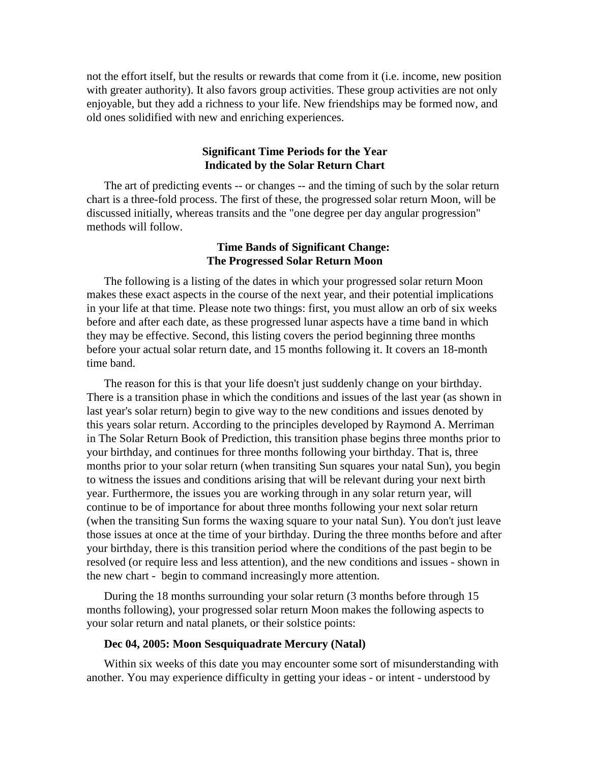not the effort itself, but the results or rewards that come from it (i.e. income, new position with greater authority). It also favors group activities. These group activities are not only enjoyable, but they add a richness to your life. New friendships may be formed now, and old ones solidified with new andenriching experiences.

# **Significant Time Periods for the Year Indicated by the Solar Return Chart**

The art of predicting events -- or changes -- and the timing of such by the solar return chart is a three-fold process. The first of these, the progressed solar return Moon, will be discussed initially, whereas transits and the "one degree per day angular progression" methods will follow.

# **Time Bands of Significant Change: The Progressed Solar Return Moon**

The following is a listing of the dates in which your progressed solar return Moon makes these exact aspects in the course of the next year, and their potential implications in your life at that time. Please note two things: first, you must allow an orb of six weeks before and after each date, as these progressed lunar aspects have a time band in which they may be effective. Second, this listing covers the period beginning three months before your actual solar return date, and 15 months following it. It covers an 18-month time band.

The reason for this is that your life doesn't just suddenly change on your birthday. There is a transition phase in which the conditions and issues of the last year (as shown in last year's solar return) begin to give way to the new conditions and issues denoted by this years solar return. According to the principles developed by Raymond A. Merriman in The Solar Return Book of Prediction, this transition phase begins three months prior to your birthday, and continues for three months following your birthday. That is, three months prior to your solar return (when transiting Sun squares your natal Sun), you begin to witness the issues and conditions arising that will be relevant during your next birth year. Furthermore, the issues you are working through in any solar return year, will continue to be of importance for about three months following your next solar return (when the transiting Sun forms the waxing square to your natal Sun). You don't just leave those issues at once at the time of your birthday. During the three months before and after your birthday, there is this transition period where the conditions of the past begin to be resolved (or require less and less attention), and the new conditions and issues - shown in the new chart - begin to command increasingly more attention.

During the 18 months surrounding your solar return (3 months before through 15 months following), your progressed solar return Moon makes the following aspects to your solar return and natal planets, or their solstice points:

#### **Dec 04, 2005: Moon Sesquiquadrate Mercury (Natal)**

Within six weeks of this date you may encounter some sort of misunderstanding with another. You may experience difficulty in getting your ideas - or intent - understood by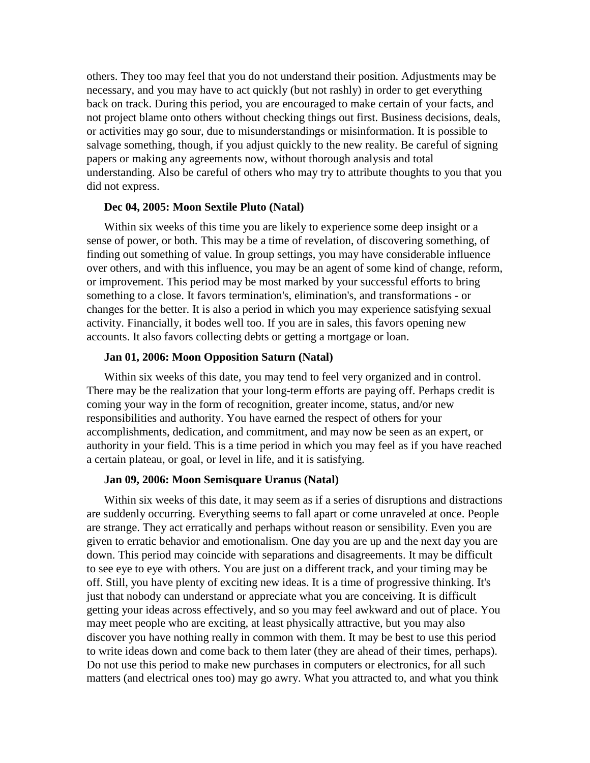others. They too may feel that you do not understand their position. Adjustments may be necessary, and you may have to act quickly (but not rashly) in order to get everything back on track. During this period, you are encouraged to make certain of your facts, and not project blame onto others without checking things out first. Business decisions, deals, or activities may go sour, due to misunderstandings or misinformation. It is possible to salvage something, though, if you adjust quickly to the new reality. Be careful of signing papers or making any agreements now, without thorough analysis and total understanding. Also be careful of others who may try to attribute thoughts to you that you did not express.

# **Dec 04, 2005: Moon Sextile Pluto (Natal)**

Within six weeks of this time you are likely to experience some deep insight or a sense of power, or both. This may be a time of revelation, of discovering something, of finding out something of value. In group settings, you may have considerable influence over others, and with this influence, you may be an agent of some kind of change, reform, or improvement. This period may be most marked by your successful efforts to bring something to a close. It favors termination's, elimination's, and transformations - or changes for the better. It is also a period in which you may experience satisfying sexual activity. Financially, it bodes well too. If you are in sales, this favors opening new accounts. It also favors collecting debts or getting a mortgage or loan.

# **Jan 01, 2006: Moon Opposition Saturn (Natal)**

Within six weeks of this date, you may tend to feel very organized and in control. There may be the realization that your long-term efforts are paying off. Perhaps credit is coming your way in the form of recognition, greater income, status, and/or new responsibilities and authority. You have earned the respect of others for your accomplishments, dedication, and commitment, and may now be seen as an expert, or authority in your field. This is a time period in which you may feel as if you have reached a certain plateau, or goal, or level in life, and it is satisfying.

#### **Jan 09, 2006: Moon Semisquare Uranus (Natal)**

Within six weeks of this date, it may seem as if a series of disruptions and distractions are suddenly occurring. Everything seems to fall apart or come unraveled at once. People are strange. They act erratically and perhaps without reason or sensibility. Even you are given to erratic behavior and emotionalism. One day you are up and the next day you are down. This period may coincide with separations and disagreements. It may be difficult to see eye to eye with others. You are just on a different track, and your timing may be off. Still, you have plenty of exciting new ideas. It is a time of progressive thinking. It's just that nobody can understand or appreciate what you are conceiving. It is difficult getting your ideas across effectively, and so you may feel awkward and out of place. You may meet people who are exciting, at least physically attractive, but you may also discover you have nothing really in common with them. It may be best to use this period to write ideas down and come back to them later (they are ahead of their times, perhaps). Do not use this period to make new purchases in computers or electronics, for all such matters (and electrical ones too) may go awry. What you attracted to, and what you think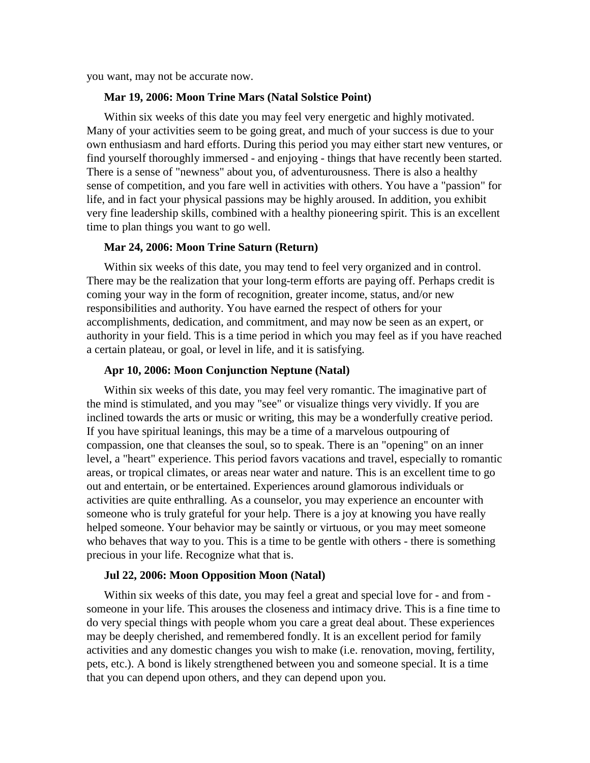you want, may not be accurate now.

# **Mar 19, 2006: Moon Trine Mars (Natal Solstice Point)**

Within six weeks of this date you may feel very energetic and highly motivated. Many of your activities seem to be going great, and much of your success is due to your own enthusiasm and hard efforts. During this period you may either start new ventures, or find yourself thoroughly immersed - and enjoying - things that have recently been started. There is a sense of "newness" about you, of adventurousness. There is also a healthy sense of competition, and you fare well in activities with others. You have a "passion" for life, and in fact your physical passions may be highly aroused. In addition, you exhibit very fine leadership skills, combined with a healthy pioneering spirit. This is an excellent time to plan things you want to go well.

#### **Mar 24, 2006: Moon Trine Saturn (Return)**

Within six weeks of this date, you may tend to feel very organized and in control. There may be the realization that your long-term efforts are paying off. Perhaps credit is coming your way in the form of recognition, greater income, status, and/or new responsibilities and authority. You have earned the respect of others for your accomplishments, dedication, and commitment, and may now be seen as an expert, or authority in your field. This is a time period in which you may feel as if you have reached a certain plateau, or goal, or level in life, and it is satisfying.

#### **Apr 10, 2006: Moon Conjunction Neptune (Natal)**

Within six weeks of this date, you may feel very romantic. The imaginative part of the mind is stimulated, and you may "see" or visualize things very vividly. If you are inclined towards the arts or music or writing, this may be a wonderfully creative period. If you have spiritual leanings, this may be a time of a marvelous outpouring of compassion, one that cleanses the soul, so to speak. There is an "opening" on an inner level, a "heart" experience. This period favors vacations and travel, especially to romantic areas, or tropical climates, or areas near water and nature. This is an excellent time to go out and entertain, or be entertained. Experiences around glamorous individuals or activities are quite enthralling. As a counselor, you may experience an encounter with someone who is truly grateful for your help. There is a joy at knowing you have really helped someone. Your behavior may be saintly or virtuous, or you may meet someone who behaves that way to you. This is a time to be gentle with others - there is something precious in your life. Recognize what that is.

#### **Jul 22, 2006: Moon Opposition Moon (Natal)**

Within six weeks of this date, you may feel a great and special love for - and from someone in your life. This arouses the closeness and intimacy drive. This is a fine time to do very special things with people whom you care a great deal about. These experiences may be deeply cherished, and remembered fondly. It is an excellent period for family activities and any domestic changes you wish to make (i.e. renovation, moving, fertility, pets, etc.). A bond is likely strengthened between you and someone special. It is a time that you can depend upon others, and they can depend upon you.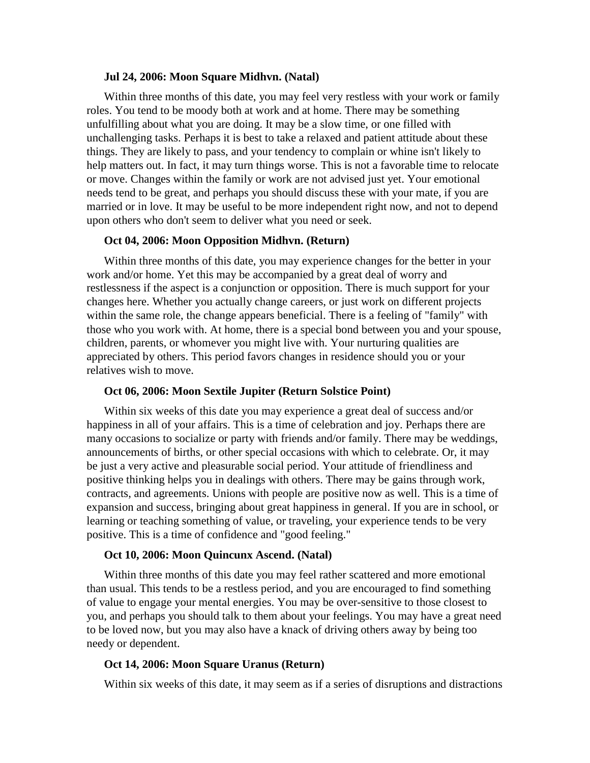# **Jul 24, 2006: Moon Square Midhvn. (Natal)**

Within three months of this date, you may feel very restless with your work or family roles. You tend to be moody both at work and at home. There may be something unfulfilling about what you are doing. It may be a slow time, or one filled with unchallenging tasks. Perhaps it is best to take a relaxed and patient attitude about these things. They are likely to pass, and your tendency to complain or whine isn't likely to help matters out. In fact, it may turn things worse. This is not a favorable time to relocate or move. Changes within the family or work are not advised just yet. Your emotional needs tend to be great, and perhaps you should discuss these with your mate, if you are married or in love. It may be useful to be more independent right now, and not to depend upon others who don't seem to deliver what you need or seek.

# **Oct 04, 2006: Moon Opposition Midhvn. (Return)**

Within three months of this date, you may experience changes for the better in your work and/or home. Yet this may be accompanied by a great deal of worry and restlessness if the aspect is a conjunction or opposition. There is much support for your changes here. Whether you actually change careers, or just work on different projects within the same role, the change appears beneficial. There is a feeling of "family" with those who you work with. At home, there is a special bond between you and your spouse, children, parents, or whomever you might live with. Your nurturing qualities are appreciated by others. This period favors changes in residence should you or your relatives wish to move.

#### **Oct 06, 2006: Moon Sextile Jupiter (Return Solstice Point)**

Within six weeks of this date you may experience a great deal of success and/or happiness in all of your affairs. This is a time of celebration and joy. Perhaps there are many occasions to socialize or party with friends and/or family. There may be weddings, announcements of births, or other special occasions with which to celebrate. Or, it may be just a very active and pleasurable social period. Your attitude of friendliness and positive thinking helps you in dealings with others. There may be gains through work, contracts, and agreements. Unions with people are positive now as well. This is a time of expansion and success, bringing about great happiness in general. If you are in school, or learning or teaching something of value, or traveling, your experience tends to be very positive. This is a time of confidence and "good feeling."

#### **Oct 10, 2006: Moon Quincunx Ascend. (Natal)**

Within three months of this date you may feel rather scattered and more emotional than usual. This tends to be a restless period, and you are encouraged to find something of value to engage your mental energies. You may be over-sensitive to those closest to you, and perhaps you should talk to them about your feelings. You may have a great need to be loved now, but you may also have a knack of driving others away by being too needy or dependent.

# **Oct 14, 2006: Moon Square Uranus (Return)**

Within six weeks of this date, it may seem as if a series of disruptions and distractions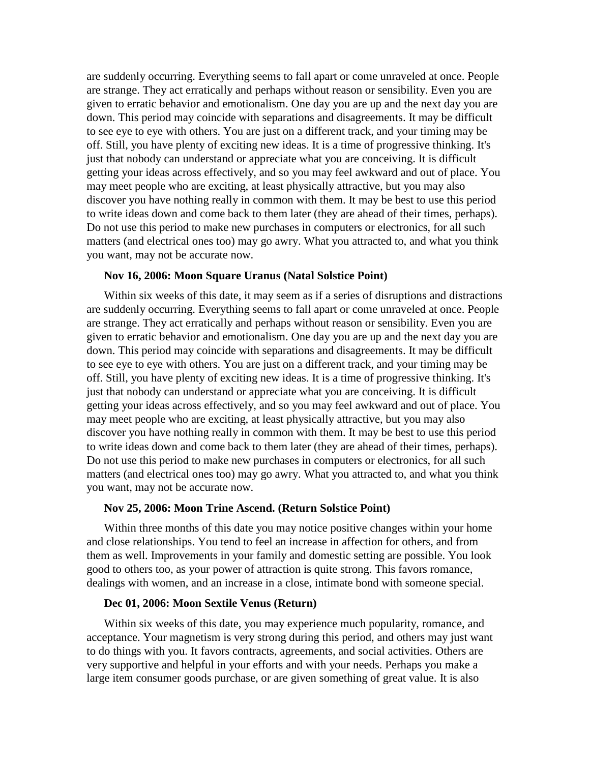are suddenly occurring. Everything seems to fall apart or come unraveled at once. People are strange. They act erratically and perhaps without reason or sensibility. Even you are given to erratic behavior and emotionalism. One day you are up and the next day you are down. This period may coincide with separations and disagreements. It may be difficult to see eye to eye with others. You are just on a different track, and your timing may be off. Still, you have plenty of exciting new ideas. It is a time of progressive thinking. It's just that nobody can understand or appreciate what you are conceiving. It is difficult getting your ideas across effectively, and so you may feel awkward and out of place. You may meet people who are exciting, at least physically attractive, but you may also discover you have nothing really in common with them. It may be best to use this period to write ideas down and come back to them later (they are ahead of their times, perhaps). Do not use this period to make new purchases in computers or electronics, for all such matters (and electrical ones too) may go awry. What you attracted to, and what you think you want, may not be accurate now.

#### **Nov 16, 2006: Moon Square Uranus (Natal Solstice Point)**

Within six weeks of this date, it may seem as if a series of disruptions and distractions are suddenly occurring. Everything seems to fall apart or come unraveled at once. People are strange. They act erratically and perhaps without reason or sensibility. Even you are given to erratic behavior and emotionalism. One day you are up and the next day you are down. This period may coincide with separations and disagreements. It may be difficult to see eye to eye with others. You are just on a different track, and your timing may be off. Still, you have plenty of exciting new ideas. It is a time of progressive thinking. It's just that nobody can understand or appreciate what you are conceiving. It is difficult getting your ideas across effectively, and so you may feel awkward and out of place. You may meet people who are exciting, at least physically attractive, but you may also discover you have nothing really in common with them. It may be best to use this period to write ideas down and come back to them later (they are ahead of their times, perhaps). Do not use this period to make new purchases in computers or electronics, for all such matters (and electrical ones too) may go awry. What you attracted to, and what you think you want, may not be accurate now.

#### **Nov 25, 2006: Moon Trine Ascend. (Return Solstice Point)**

Within three months of this date you may notice positive changes within your home and close relationships. You tend to feel an increase in affection for others, and from them as well. Improvements in your family and domestic setting are possible. You look good to others too, as your power of attraction is quite strong. This favors romance, dealings with women, and an increase in a close, intimate bond with someone special.

# **Dec 01, 2006: Moon Sextile Venus (Return)**

Within six weeks of this date, you may experience much popularity, romance, and acceptance. Your magnetism is very strong during this period, and others may just want to do things with you. It favors contracts, agreements, and social activities. Others are very supportive and helpful in your efforts and with your needs. Perhaps you make a large item consumer goods purchase, or are given something of great value. It is also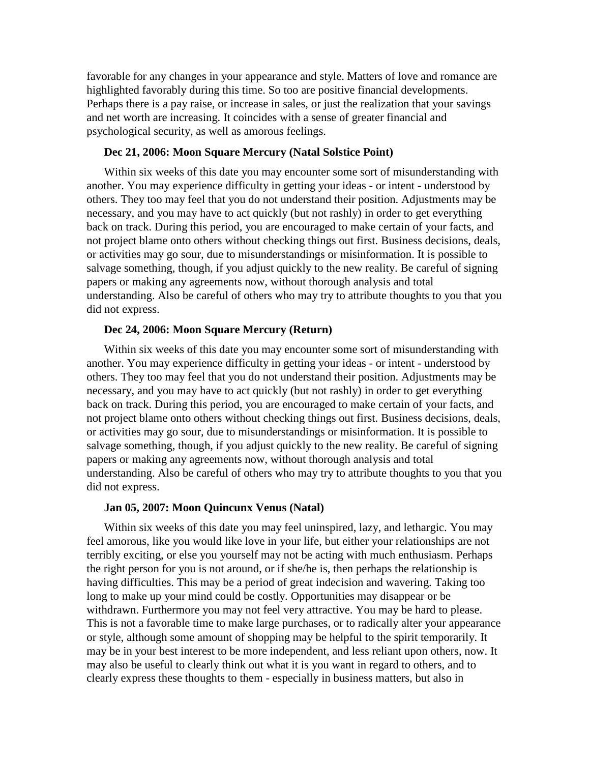favorable for any changes in your appearance and style. Matters of love and romance are highlighted favorably during this time. So too are positive financial developments. Perhaps there is a pay raise, or increase in sales, or just the realization that your savings and net worth are increasing. It coincides with a sense of greater financial and psychological security, as well as amorous feelings.

#### **Dec 21, 2006: Moon Square Mercury (Natal Solstice Point)**

Within six weeks of this date you may encounter some sort of misunderstanding with another. You may experience difficulty in getting your ideas - or intent - understood by others. They too may feel that you do not understand their position. Adjustments may be necessary, and you may have to act quickly (but not rashly) in order to get everything back on track. During this period, you are encouraged to make certain of your facts, and not project blame onto others without checking things out first. Business decisions, deals, or activities may go sour, due to misunderstandings or misinformation. It is possible to salvage something, though, if you adjust quickly to the new reality. Be careful of signing papers or making any agreements now, without thorough analysis and total understanding. Also be careful of others who may try to attribute thoughts to you that you did not express.

# **Dec 24, 2006: Moon Square Mercury (Return)**

Within six weeks of this date you may encounter some sort of misunderstanding with another. You may experience difficulty in getting your ideas - or intent - understood by others. They too may feel that you do not understand their position. Adjustments may be necessary, and you may have to act quickly (but not rashly) in order to get everything back on track. During this period, you are encouraged to make certain of your facts, and not project blame onto others without checking things out first. Business decisions, deals, or activities may go sour, due to misunderstandings or misinformation. It is possible to salvage something, though, if you adjust quickly to the new reality. Be careful of signing papers or making any agreements now, without thorough analysis and total understanding. Also be careful of others who may try to attribute thoughts to you that you did not express.

#### **Jan 05, 2007: Moon Quincunx Venus (Natal)**

Within six weeks of this date you may feel uninspired, lazy, and lethargic. You may feel amorous, like you would like love in your life, but either your relationships are not terribly exciting, or else you yourself may not be acting with much enthusiasm. Perhaps the right person for you is not around, or if she/he is, then perhaps the relationship is having difficulties. This may be a period of great indecision and wavering. Taking too long to make up your mind could be costly. Opportunities may disappear or be withdrawn. Furthermore you may not feel very attractive. You may be hard to please. This is not a favorable time to make large purchases, or to radically alter your appearance or style, although some amount of shopping may be helpful to the spirit temporarily. It may be in your best interest to be more independent, and less reliant upon others, now. It may also be useful to clearly think out what it is you want in regard to others, and to clearly express these thoughts to them - especially in business matters, but also in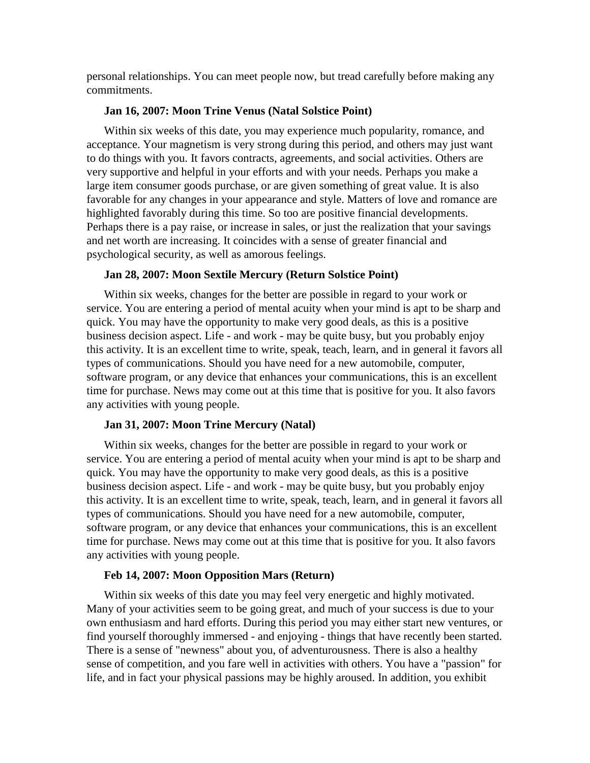personal relationships. You can meet people now, but tread carefully before making any commitments.

# **Jan 16, 2007: Moon Trine Venus (Natal Solstice Point)**

Within six weeks of this date, you may experience much popularity, romance, and acceptance. Your magnetism is very strong during this period, and others may just want to do things with you. It favors contracts, agreements, and social activities. Others are very supportive and helpful in your efforts and with your needs. Perhaps you make a large item consumer goods purchase, or are given something of great value. It is also favorable for any changes in your appearance and style. Matters of love and romance are highlighted favorably during this time. So too are positive financial developments. Perhaps there is a pay raise, or increase in sales, or just the realization that your savings and net worth are increasing. It coincides with a sense of greater financial and psychological security, as well as amorous feelings.

#### **Jan 28, 2007: Moon Sextile Mercury (Return Solstice Point)**

Within six weeks, changes for the better are possible in regard to your work or service. You are entering a period of mental acuity when your mind is apt to be sharp and quick. You may have the opportunity to make very good deals, as this is a positive business decision aspect. Life - and work - may be quite busy, but you probably enjoy this activity. It is an excellent time to write, speak, teach, learn, and in general it favors all types of communications. Should you have need for a new automobile, computer, software program, or any device that enhances your communications, this is an excellent time for purchase. News may come out at this time that is positive for you. It also favors any activities with young people.

#### **Jan 31, 2007: Moon Trine Mercury (Natal)**

Within six weeks, changes for the better are possible in regard to your work or service. You are entering a period of mental acuity when your mind is apt to be sharp and quick. You may have the opportunity to make very good deals, as this is a positive business decision aspect. Life - and work - may be quite busy, but you probably enjoy this activity. It is an excellent time to write, speak, teach, learn, and in general it favors all types of communications. Should you have need for a new automobile, computer, software program, or any device that enhances your communications, this is an excellent time for purchase. News may come out at this time that is positive for you. It also favors any activities with young people.

#### **Feb 14, 2007: Moon Opposition Mars (Return)**

Within six weeks of this date you may feel very energetic and highly motivated. Many of your activities seem to be going great, and much of your success is due to your own enthusiasm and hard efforts. During this period you may either start new ventures, or find yourself thoroughly immersed - and enjoying - things that have recently been started. There is a sense of "newness" about you, of adventurousness. There is also a healthy sense of competition, and you fare well in activities with others. You have a "passion" for life, and in fact your physical passions may be highly aroused. In addition, you exhibit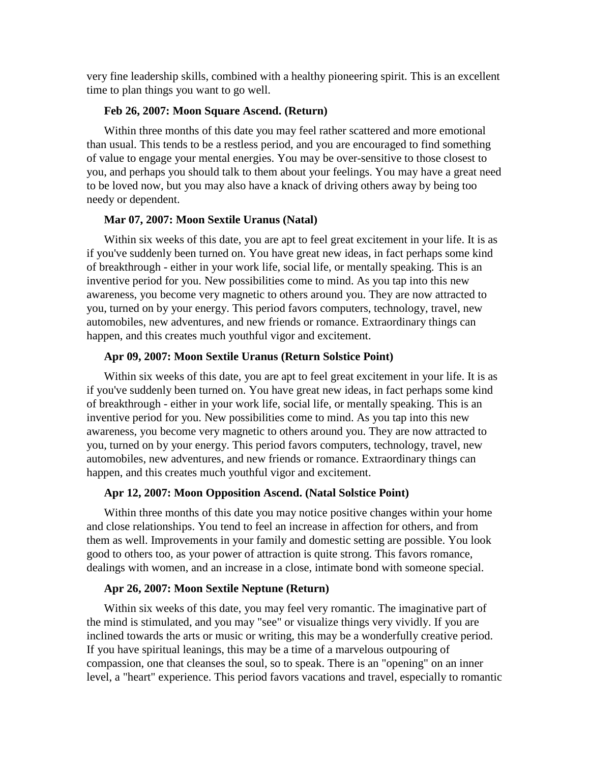very fine leadership skills, combined with a healthy pioneering spirit. This is an excellent time to plan things you want to go well.

# **Feb 26, 2007: Moon Square Ascend. (Return)**

Within three months of this date you may feel rather scattered and more emotional than usual. This tends to be a restless period, and you are encouraged to find something of value to engage your mental energies. You may be over-sensitive to those closest to you, and perhaps you should talk to them about your feelings. You may have a great need to be loved now, but you may also have a knack of driving others away by being too needy or dependent.

# **Mar 07, 2007: Moon Sextile Uranus (Natal)**

Within six weeks of this date, you are apt to feel great excitement in your life. It is as if you've suddenly been turned on. You have great new ideas, in fact perhaps some kind of breakthrough - either in your work life, social life, or mentally speaking. This is an inventive period for you. New possibilities come to mind. As you tap into this new awareness, you become very magnetic to others around you. They are now attracted to you, turned on by your energy. This period favors computers, technology, travel, new automobiles, new adventures, and new friends or romance. Extraordinary things can happen, and this creates much youthful vigor and excitement.

# **Apr 09, 2007: Moon Sextile Uranus (Return Solstice Point)**

Within six weeks of this date, you are apt to feel great excitement in your life. It is as if you've suddenly been turned on. You have great new ideas, in fact perhaps some kind of breakthrough - either in your work life, social life, or mentally speaking. This is an inventive period for you. New possibilities come to mind. As you tap into this new awareness, you become very magnetic to others around you. They are now attracted to you, turned on by your energy. This period favors computers, technology, travel, new automobiles, new adventures, and new friends or romance. Extraordinary things can happen, and this creates much youthful vigor and excitement.

#### **Apr 12, 2007: Moon Opposition Ascend. (Natal Solstice Point)**

Within three months of this date you may notice positive changes within your home and close relationships. You tend to feel an increase in affection for others, and from them as well. Improvements in your family and domestic setting are possible. You look good to others too, as your power of attraction is quite strong. This favors romance, dealings with women, and an increase in a close, intimate bond with someone special.

#### **Apr 26, 2007: Moon Sextile Neptune (Return)**

Within six weeks of this date, you may feel very romantic. The imaginative part of the mind is stimulated, and you may "see" or visualize things very vividly. If you are inclined towards the arts or music or writing, this may be a wonderfully creative period. If you have spiritual leanings, this may be a time of a marvelous outpouring of compassion, one that cleanses the soul, so to speak. There is an "opening" on an inner level, a "heart" experience. This period favors vacations and travel, especially to romantic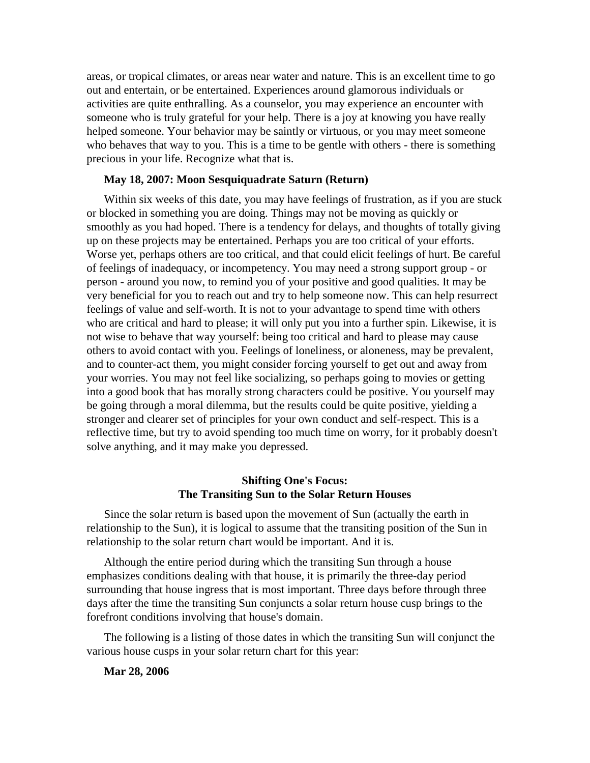areas, or tropical climates, or areas near water and nature. This is an excellent time to go out and entertain, or be entertained. Experiences around glamorous individuals or activities are quite enthralling. As a counselor, you may experience an encounter with someone who is truly grateful for your help. There is a joy at knowing you have really helped someone. Your behavior may be saintly or virtuous, or you may meet someone who behaves that way to you. This is a time to be gentle with others - there is something precious in your life. Recognize what that is.

# **May 18, 2007: Moon Sesquiquadrate Saturn (Return)**

Within six weeks of this date, you may have feelings of frustration, as if you are stuck or blocked in something you are doing. Things may not be moving as quickly or smoothly as you had hoped. There is a tendency for delays, and thoughts of totally giving up on these projects may be entertained. Perhaps you are too critical of your efforts. Worse yet, perhaps others are too critical, and that could elicit feelings of hurt. Be careful of feelings of inadequacy, or incompetency. You may need a strong support group - or person - around you now, to remind you of your positive and good qualities. It may be very beneficial for you to reach out and try to help someone now. This can help resurrect feelings of value and self-worth. It is not to your advantage to spend time with others who are critical and hard to please; it will only put you into a further spin. Likewise, it is not wise to behave that way yourself: being too critical and hard to please may cause others to avoid contact with you. Feelings of loneliness, or aloneness, may be prevalent, and to counter-act them, you might consider forcing yourself to get out and away from your worries. You may not feel like socializing, so perhaps going to movies or getting into a good book that has morally strong characters could be positive. You yourself may be going through a moral dilemma, but the results could be quite positive, yielding a stronger and clearer set of principles for your own conduct and self-respect. This is a reflective time, but try to avoid spending too much time on worry, for it probably doesn't solve anything, and it may make you depressed.

# **Shifting One's Focus: The Transiting Sun to the Solar Return Houses**

Since the solar return is based upon the movement of Sun (actually the earth in relationship to the Sun), it is logical to assume that the transiting position of the Sun in relationship to the solar return chart would be important. And it is.

Although the entire period during which the transiting Sun through a house emphasizes conditions dealing with that house, it is primarily the three-day period surrounding that house ingress that is most important. Three days before through three days after the time the transiting Sun conjuncts a solar return house cusp brings to the forefront conditions involving that house's domain.

The following is a listing of those dates in which the transiting Sun will conjunct the various house cusps in your solar return chart for this year:

**Mar 28, 2006**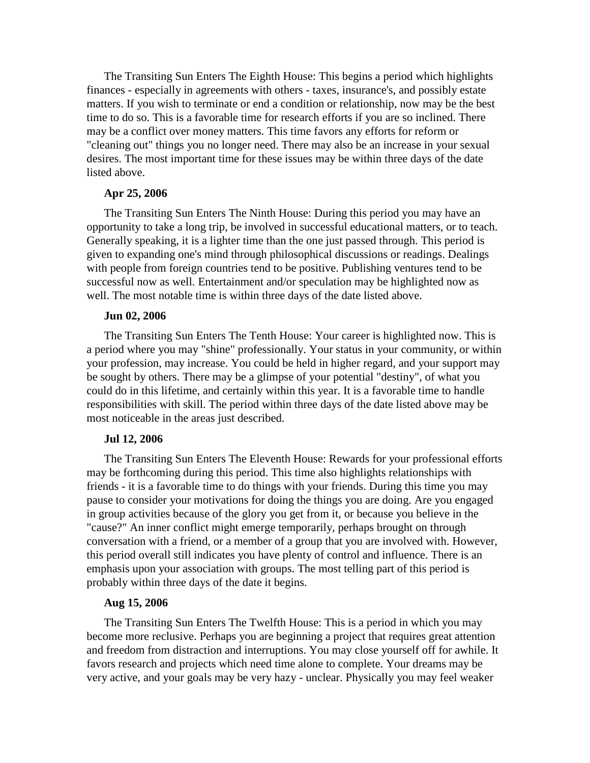The Transiting Sun Enters The Eighth House: This begins a period which highlights finances - especially in agreements with others - taxes, insurance's, and possibly estate matters. If you wish to terminate or end a condition or relationship, now may be the best time to do so. This is a favorable time for research efforts if you are so inclined. There may be a conflict over money matters. This time favors any efforts for reform or "cleaning out" things you no longer need. There may also be an increase in your sexual desires. The most important time for these issues may be within three days of the date listed above.

# **Apr 25, 2006**

The Transiting Sun Enters The Ninth House: During this period you may have an opportunity to take a long trip, be involved in successful educational matters, or to teach. Generally speaking, it is a lighter time than the one just passed through. This period is given to expanding one's mind through philosophical discussions or readings. Dealings with people from foreign countries tend to be positive. Publishing ventures tend to be successful now as well. Entertainment and/or speculation may be highlighted now as well. The most notable time is within three days of the date listed above.

#### **Jun 02, 2006**

The Transiting Sun Enters The Tenth House: Your career is highlighted now. This is a period where you may "shine" professionally. Your status in your community, or within your profession, may increase. You could be held in higher regard, and your support may be sought by others. There may be a glimpse of your potential "destiny", of what you could do in this lifetime, and certainly within this year. It is a favorable time to handle responsibilities with skill. The period within three days of the date listed above may be most noticeable in the areas just described.

#### **Jul 12, 2006**

The Transiting Sun Enters The Eleventh House: Rewards for your professional efforts may be forthcoming during this period. This time also highlights relationships with friends - it is a favorable time to do things with your friends. During this time you may pause to consider your motivations for doing the things you are doing. Are you engaged in group activities because of the glory you get from it, or because you believe in the "cause?" An inner conflict might emerge temporarily, perhaps brought on through conversation with a friend, or a member of a group that you are involved with. However, this period overall still indicates you have plenty of control and influence. There is an emphasis upon your association with groups. The most telling part of this period is probably within three days of the date it begins.

# **Aug 15, 2006**

The Transiting Sun Enters The Twelfth House: This is a period in which you may become more reclusive. Perhaps you are beginning a project that requires great attention and freedom from distraction and interruptions. You may close yourself off for awhile. It favors research and projects which need time alone to complete. Your dreams may be very active, and your goals may be very hazy - unclear. Physically you may feel weaker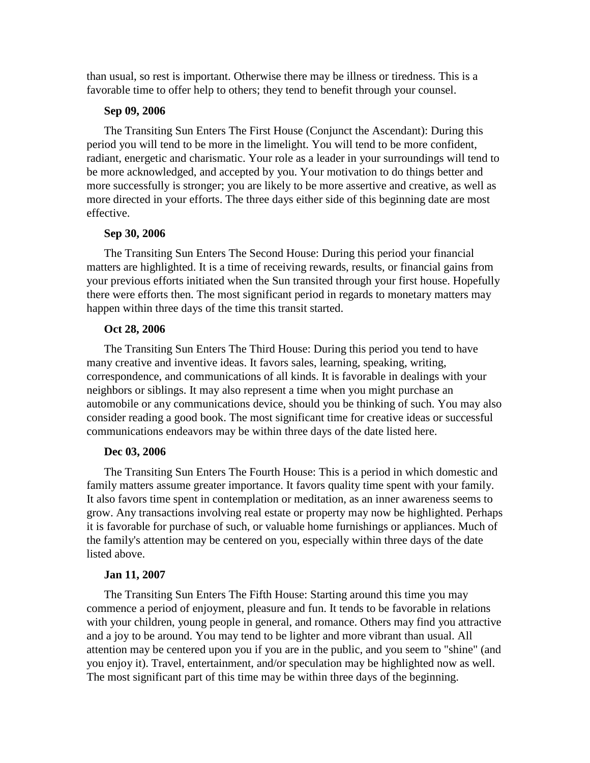than usual, so rest is important. Otherwise there may be illness or tiredness. This is a favorable time to offer help to others; they tend to benefit through your counsel.

# **Sep 09, 2006**

The Transiting Sun Enters The First House (Conjunct the Ascendant): During this period you will tend to be more in the limelight. You will tend to be more confident, radiant, energetic and charismatic. Your role as a leader in your surroundings will tend to be more acknowledged, and accepted by you. Your motivation to do things better and more successfully is stronger; you are likely to be more assertive and creative, as well as more directed in your efforts. The three days either side of this beginning date are most effective.

# **Sep 30, 2006**

The Transiting Sun Enters The Second House: During this period your financial matters are highlighted. It is a time of receiving rewards, results, or financial gains from your previous efforts initiated when the Sun transited through your first house. Hopefully there were efforts then. The most significant period in regards to monetary matters may happen within three days of the time this transit started.

# **Oct 28, 2006**

The Transiting Sun Enters The Third House: During this period you tend to have many creative and inventive ideas. It favors sales, learning, speaking, writing, correspondence, and communications of all kinds. It is favorable in dealings with your neighbors or siblings. It may also represent a time when you might purchase an automobile or any communications device, should you be thinking of such. You may also consider reading a good book. The most significant time for creative ideas or successful communications endeavors may be within three days of the date listed here.

# **Dec 03, 2006**

The Transiting Sun Enters The Fourth House: This is a period in which domestic and family matters assume greater importance. It favors quality time spent with your family. It also favors time spent in contemplation or meditation, as an inner awareness seems to grow. Any transactions involving real estate or property may now be highlighted. Perhaps it is favorable for purchase of such, or valuable home furnishings or appliances. Much of the family's attention may be centered on you, especially within three days of the date listed above.

# **Jan 11, 2007**

The Transiting Sun Enters The Fifth House: Starting around this time you may commence a period of enjoyment, pleasure and fun.It tends to be favorable in relations with your children, young people in general, and romance. Others may find you attractive and a joy to be around. You may tend to be lighter and more vibrant than usual. All attention may be centered upon you if you are in the public, and you seem to "shine" (and you enjoy it). Travel, entertainment, and/or speculation may be highlighted now as well. The most significant part of this time may be within three days of the beginning.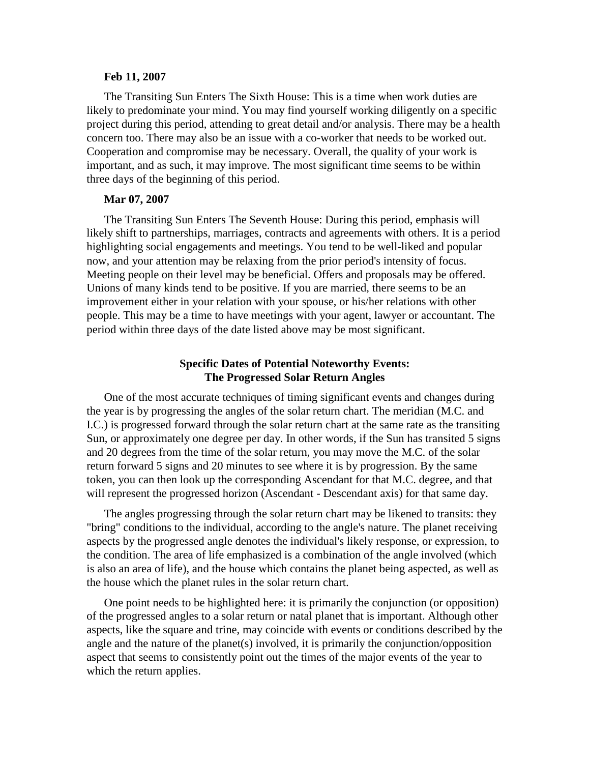#### **Feb 11, 2007**

The Transiting Sun Enters The Sixth House: This is a time when work duties are likely to predominate your mind. You may find yourself working diligently on a specific project during this period, attending to great detail and/or analysis. There may be a health concern too. There may also be an issue with a co-worker that needs to be worked out. Cooperation and compromise may be necessary. Overall, the quality of your work is important, and as such, it may improve. The most significant time seems to be within three days of the beginning of this period.

#### **Mar 07, 2007**

The Transiting Sun Enters The Seventh House: During this period, emphasis will likely shift to partnerships, marriages, contracts and agreements with others. It is a period highlighting social engagements and meetings. You tend to be well-liked and popular now, and your attention may be relaxing from the prior period's intensity of focus. Meeting people on their level may be beneficial. Offers and proposals may be offered. Unions of many kinds tend to be positive. If you are married, there seems to be an improvement either in your relation with your spouse, or his/her relations with other people. This may be a time to have meetings with your agent, lawyer or accountant. The period within three days of the date listed above may be most significant.

# **Specific Dates of Potential Noteworthy Events: The Progressed Solar Return Angles**

One of the most accurate techniques of timing significant events and changes during the year is by progressing the angles of the solar return chart. The meridian (M.C. and I.C.) is progressed forward through the solar return chart at the same rate as the transiting Sun, or approximately one degree per day. In other words, if the Sun has transited 5 signs and 20 degrees from the time of the solar return, you may move the M.C. of the solar return forward 5 signs and 20 minutes to see where it is by progression. By the same token, you can then look up the corresponding Ascendant for that M.C. degree, and that will represent the progressed horizon (Ascendant - Descendant axis) for that same day.

The angles progressing through the solar return chart may be likened to transits: they "bring" conditions to the individual, according to the angle's nature. The planet receiving aspects by the progressed angle denotes the individual's likely response, or expression, to the condition. The area of life emphasized is a combination of the angle involved (which is also an area of life), and the house which contains the planet being aspected, as well as the house which the planet rules in the solar return chart.

One point needs to be highlighted here: it is primarily the conjunction (or opposition) of the progressed angles to a solar return or natal planet that is important. Although other aspects, like the square and trine, may coincide with events or conditions described by the angle and the nature of the planet(s) involved, it is primarily the conjunction/opposition aspect that seems to consistently point out the times of the major events of the year to which the return applies.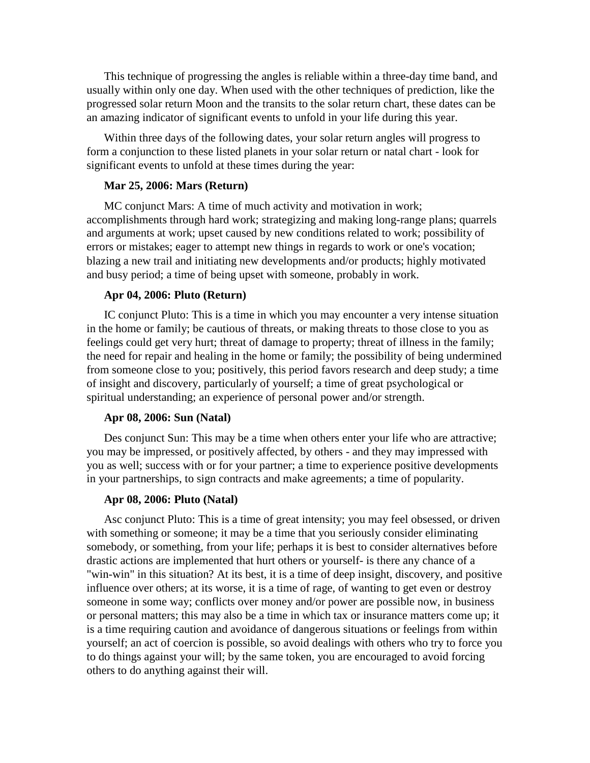This technique of progressing the angles is reliable within a three-day time band, and usually within only one day. When used with the other techniques of prediction, like the progressed solar return Moon and the transits to the solar return chart, these dates can be an amazing indicator of significant events to unfold in your life during this year.

Within three days of the following dates, your solar return angles will progress to form a conjunction to these listed planets in your solar return or natal chart - look for significant events to unfold at these times during the year:

# **Mar 25, 2006: Mars (Return)**

MC conjunct Mars: A time of much activity and motivation in work; accomplishments through hard work; strategizing and making long-range plans; quarrels and arguments at work; upset caused by new conditions related to work; possibility of errors or mistakes; eager to attempt new things in regards to work or one's vocation; blazing a new trail and initiating new developments and/or products; highly motivated and busy period; a time of being upset with someone, probably in work.

#### **Apr 04, 2006: Pluto (Return)**

IC conjunct Pluto: This is a time in which you may encounter a very intense situation in the home or family; be cautious of threats, or making threats to those close to you as feelings could get very hurt; threat of damage to property; threat of illness in the family; the need for repair and healing in the home or family; the possibility of being undermined from someone close to you; positively, this period favors research and deep study; a time of insight and discovery, particularly of yourself; a time of great psychological or spiritual understanding; an experience of personal power and/or strength.

#### **Apr 08, 2006: Sun (Natal)**

Des conjunct Sun: This may be a time when others enter your life who are attractive; you may be impressed, or positively affected, by others - and they may impressed with you as well; success with or for your partner; a time to experience positive developments in your partnerships, to sign contracts and make agreements; a time of popularity.

# **Apr 08, 2006: Pluto (Natal)**

Asc conjunct Pluto: This is a time of great intensity; you may feel obsessed, or driven with something or someone; it may be a time that you seriously consider eliminating somebody, or something, from your life; perhaps it is best to consider alternatives before drastic actions are implemented that hurt others or yourself- is there any chance of a "win-win" in this situation? At its best, it is a time of deep insight, discovery, and positive influence over others; at its worse, it is a time of rage, of wanting to get even or destroy someone in some way; conflicts over money and/or power are possible now, in business or personal matters; this may also be a time in which tax or insurance matters come up; it is a time requiring caution and avoidance of dangerous situations or feelings from within yourself; an act of coercion is possible, so avoid dealings with others who try to force you to do things against your will; by the same token, you are encouraged to avoid forcing others to do anything against their will.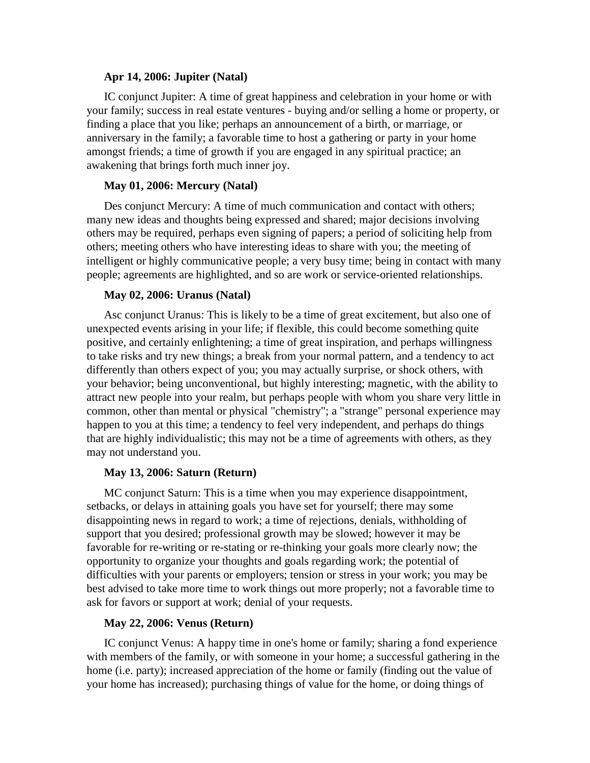# **Apr 14, 2006: Jupiter (Natal)**

IC conjunct Jupiter: A time of great happiness and celebration in your home or with your family; success in real estate ventures - buying and/or selling a home or property, or finding a place that you like; perhaps an announcement of a birth, or marriage, or anniversary in the family; a favorable time to host a gathering or party in your home amongst friends; a time of growth if you are engaged in any spiritual practice; an awakening that brings forth much inner joy.

#### **May 01, 2006: Mercury (Natal)**

Des conjunct Mercury: A time of much communication and contact with others; many new ideas and thoughts being expressed and shared; major decisions involving others may be required, perhaps even signing of papers; a period of soliciting help from others; meeting others who have interesting ideas to share with you; the meeting of intelligent or highly communicative people; a very busy time; being in contact with many people; agreements are highlighted, and so are work or service-oriented relationships.

#### **May 02, 2006: Uranus (Natal)**

Asc conjunct Uranus: This is likely to be a time of great excitement, but also one of unexpected events arising in your life; if flexible, this could become something quite positive, and certainly enlightening; a time of great inspiration, and perhaps willingness to take risks and try new things; a break from your normal pattern, and a tendency to act differently than others expect of you; you may actually surprise, or shock others, with your behavior; being unconventional, but highly interesting; magnetic, with the ability to attract new people into your realm, but perhaps people with whom you share very little in common, other than mental or physical "chemistry"; a "strange" personal experience may happen to you at this time; a tendency to feel very independent, and perhaps do things that are highly individualistic; this may not be a time of agreements with others, as they may not understand you.

#### **May 13, 2006: Saturn (Return)**

MC conjunct Saturn: This is a time when you may experience disappointment, setbacks, or delays in attaining goals you have set for yourself; there may some disappointing news in regard to work; a time of rejections, denials, withholding of support that you desired; professional growth may be slowed; however it may be favorable for re-writing or re-stating or re-thinking your goals more clearly now; the opportunity to organize your thoughts and goals regarding work; the potential of difficulties with your parents or employers; tension or stress in your work; you may be best advised to take more time to work things out more properly; not a favorable time to ask for favors or support at work; denial of your requests.

# **May 22, 2006: Venus (Return)**

IC conjunct Venus: A happy time in one's home or family; sharing a fond experience with members of the family, or with someone in your home; a successful gathering in the home (i.e. party); increased appreciation of the home or family (finding out the value of your home has increased); purchasing things of value for the home, or doing things of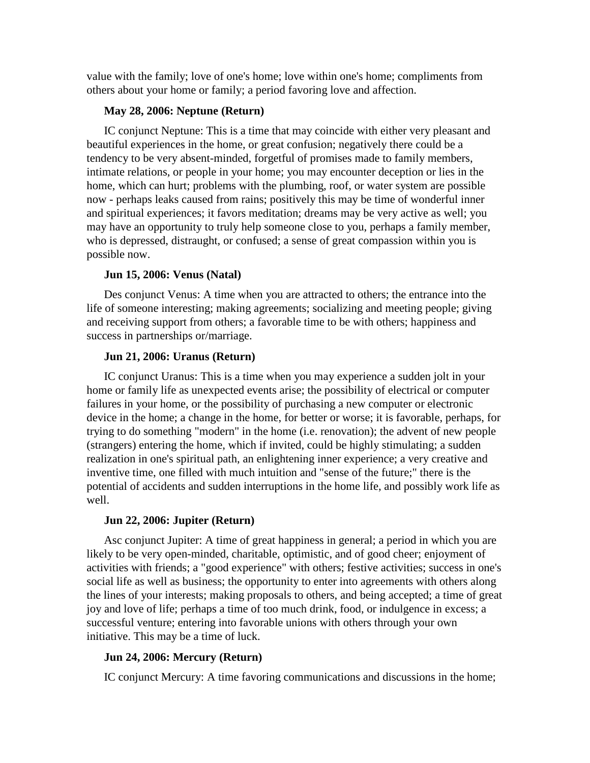value with the family; love of one's home; love within one's home; compliments from others about your home or family; a period favoring love and affection.

# **May 28, 2006: Neptune (Return)**

IC conjunct Neptune: This is a time that may coincide with either very pleasant and beautiful experiences in the home, or great confusion; negatively there could be a tendency to be very absent-minded, forgetful of promises made to family members, intimate relations, or people in your home; you may encounter deception or lies in the home, which can hurt; problems with the plumbing, roof, or water system are possible now - perhaps leaks caused from rains; positively this may be time of wonderful inner and spiritual experiences; it favors meditation; dreams may be very active as well; you may have an opportunity to truly help someone close to you, perhaps a family member, who is depressed, distraught, or confused; a sense of great compassion within you is possible now.

# **Jun 15, 2006: Venus (Natal)**

Des conjunct Venus: A timewhen you are attracted to others; the entrance into the life of someone interesting; making agreements; socializing and meeting people; giving and receiving support from others; a favorable time to be with others; happiness and success in partnerships or/marriage.

# **Jun 21, 2006: Uranus (Return)**

IC conjunct Uranus: This is a time when you may experience a sudden jolt in your home or family life as unexpected events arise; the possibility of electrical or computer failures in your home, or the possibility of purchasing a new computer or electronic device in the home; a change in the home, for better or worse; it is favorable, perhaps, for trying to do something "modern" in the home (i.e. renovation); the advent of new people (strangers) entering the home, which if invited, could be highly stimulating; a sudden realization in one's spiritual path, an enlightening inner experience; a very creative and inventive time, one filled with much intuition and "sense of the future;" there is the potential of accidents and sudden interruptions in the home life, and possibly work life as well.

# **Jun 22, 2006: Jupiter (Return)**

Asc conjunct Jupiter: A time of great happiness in general; a period in which you are likely to be very open-minded, charitable, optimistic, and of good cheer; enjoyment of activities with friends; a "good experience" with others; festive activities; success in one's social life as well as business; the opportunity to enter into agreements with others along the lines of your interests; making proposals to others, and being accepted; a time of great joy and love of life; perhaps a time of too much drink, food, or indulgence in excess; a successful venture; entering into favorable unions with others through your own initiative. This may be a time of luck.

# **Jun 24, 2006: Mercury (Return)**

IC conjunct Mercury: A time favoring communications and discussions in the home;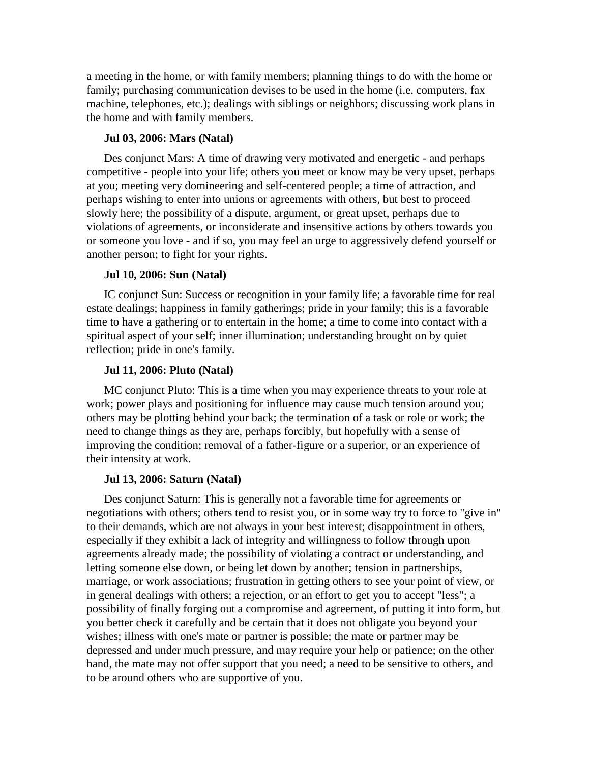a meeting in the home, or with family members; planning things to do with the home or family; purchasing communication devises to be used in the home (i.e. computers, fax machine, telephones, etc.); dealings with siblings or neighbors; discussing work plans in the home and with family members.

# **Jul 03, 2006: Mars (Natal)**

Des conjunct Mars: A time of drawing very motivated and energetic - and perhaps competitive - people into your life; others you meet or know may be very upset, perhaps at you; meeting very domineering and self-centered people; a time of attraction, and perhaps wishing to enter into unions or agreements with others, but best to proceed slowly here; the possibility of a dispute, argument, or great upset, perhaps due to violations of agreements, or inconsiderate and insensitive actions by others towards you or someone you love - and if so, you may feel an urge to aggressively defend yourself or another person; to fight for your rights.

# **Jul 10, 2006: Sun (Natal)**

IC conjunct Sun: Success or recognition in your family life; a favorable time for real estate dealings; happiness in family gatherings; pride in your family; this is a favorable time to have a gathering or to entertain in the home; a time to come into contact with a spiritual aspect of your self; inner illumination; understanding brought on by quiet reflection; pride in one's family.

# **Jul 11, 2006: Pluto (Natal)**

MC conjunct Pluto: This is a time when you may experience threats to your role at work; power plays and positioning for influence may cause much tension around you; others may be plotting behind your back; the termination of a task or role or work; the need to change things as they are, perhaps forcibly, but hopefully with a sense of improving the condition; removal of a father-figure or a superior, or an experience of their intensity at work.

# **Jul 13, 2006: Saturn (Natal)**

Des conjunct Saturn: This is generally not a favorable time for agreements or negotiations with others; others tend to resist you, or in some way try to force to "give in" to their demands, which are not always in your best interest; disappointment in others, especially if they exhibit a lack of integrity and willingness to follow through upon agreements already made; the possibility of violating a contract or understanding, and letting someone else down, or being let down by another; tension in partnerships, marriage, or work associations; frustration in getting others to see your point of view, or in general dealings with others; a rejection, or an effort to get you to accept "less"; a possibility of finally forging out a compromise and agreement, of putting it into form, but you better check it carefully and be certain that it does not obligate you beyond your wishes; illness with one's mate or partner is possible; the mate or partner may be depressed and under much pressure, and may require your help or patience; on the other hand, the mate may not offer support that you need; a need to be sensitive to others, and to be around others who are supportive of you.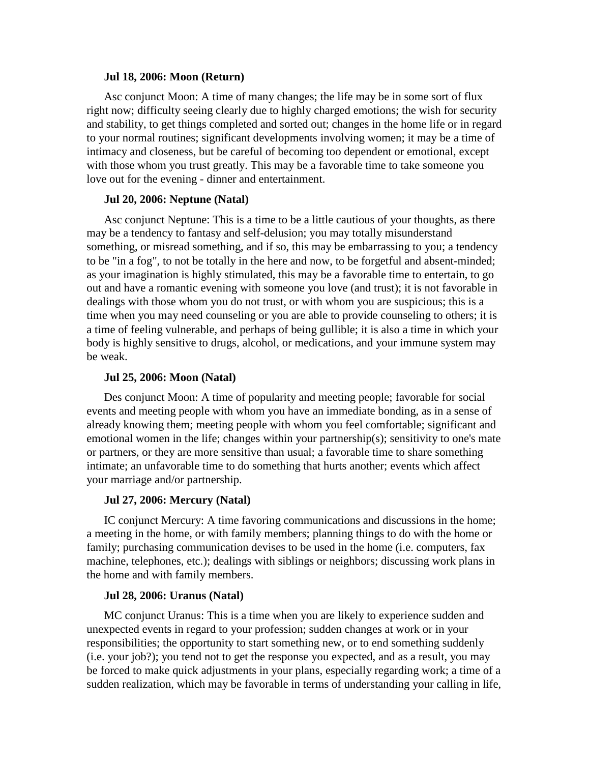#### **Jul 18, 2006: Moon (Return)**

Asc conjunct Moon: A time of many changes; the life may be in some sort of flux right now; difficulty seeing clearly due to highly charged emotions; the wish for security and stability, to get things completed and sorted out; changes in the home life or in regard to your normal routines; significant developments involving women; it may be a time of intimacy and closeness, but be careful of becoming too dependent or emotional, except with those whom you trust greatly. This may be a favorable time to take someone you love out for the evening - dinner and entertainment.

# **Jul 20, 2006: Neptune (Natal)**

Asc conjunct Neptune: This is a time to be a little cautious of your thoughts, as there may be a tendency to fantasy and self-delusion; you may totally misunderstand something, or misread something, and if so, this may be embarrassing to you; a tendency to be "in a fog", to not be totally in the here and now, to be forgetful and absent-minded; as your imagination is highly stimulated, this may be a favorable time to entertain, to go out and have a romantic evening with someone you love (and trust); it is not favorable in dealings with those whom you do not trust, or with whom you are suspicious; this is a time when you may need counseling or you are able to provide counseling to others; it is a time of feeling vulnerable, and perhaps of being gullible; it is also a time in which your body is highly sensitive to drugs, alcohol, or medications, and your immune system may be weak.

# **Jul 25, 2006: Moon (Natal)**

Des conjunct Moon: A time of popularity and meeting people; favorable for social events and meeting people with whom you have an immediate bonding, as in a sense of already knowing them; meeting people with whom you feel comfortable; significant and emotional women in the life; changes within your partnership(s); sensitivity to one's mate or partners, or they are more sensitive than usual; a favorable time to share something intimate; an unfavorable time to do something that hurts another; events which affect your marriage and/or partnership.

# **Jul 27, 2006: Mercury (Natal)**

IC conjunct Mercury: A time favoring communications and discussions in the home; a meeting in the home, or with family members; planning things to do with the home or family; purchasing communication devises to be used in the home (i.e. computers, fax machine, telephones, etc.); dealings with siblings or neighbors; discussing work plans in the home and with family members.

# **Jul 28, 2006: Uranus (Natal)**

MC conjunct Uranus: This is a time when you are likely to experience sudden and unexpected events in regard to your profession; sudden changes at work or in your responsibilities; the opportunity to start something new, or to end something suddenly (i.e. your job?); you tend not to get the response you expected, and as a result, you may be forced to make quick adjustments in your plans, especially regarding work; a time of a sudden realization, which may be favorable in terms of understanding your calling in life,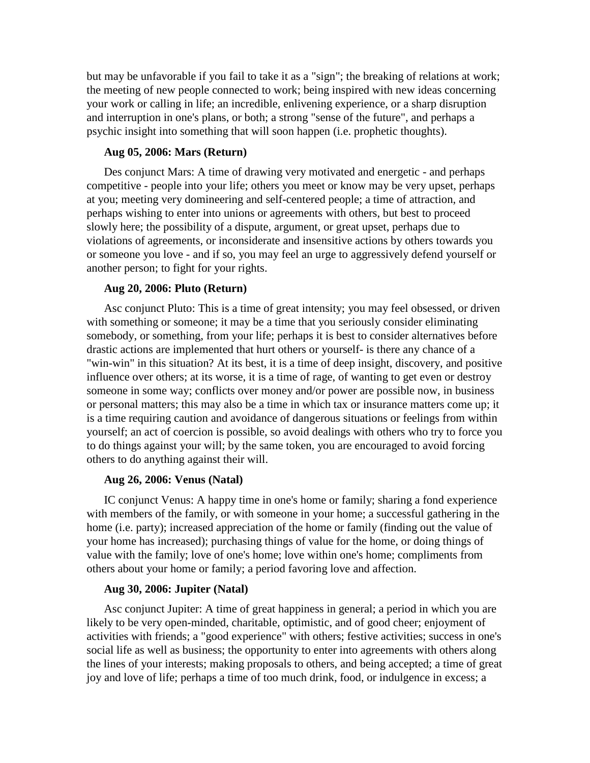but may be unfavorable if you fail to take it as a "sign"; the breaking of relations at work; the meeting of new people connected to work; being inspired with new ideas concerning your work or calling in life; an incredible, enlivening experience, or a sharp disruption and interruption in one's plans, or both; a strong "sense of the future", and perhaps a psychic insight into something that will soon happen (i.e. prophetic thoughts).

#### **Aug 05, 2006: Mars (Return)**

Des conjunct Mars: A time of drawing very motivated and energetic - and perhaps competitive - people into your life; others you meet or know may be very upset, perhaps at you; meeting very domineering and self-centered people; a time of attraction, and perhaps wishing to enter into unions or agreements with others, but best to proceed slowly here; the possibility of a dispute, argument, or great upset, perhaps due to violations of agreements, or inconsiderate and insensitive actions by others towards you or someone you love - and if so, you may feel an urge to aggressively defend yourself or another person; to fight for your rights.

# **Aug 20, 2006: Pluto (Return)**

Asc conjunct Pluto: This is a time of great intensity; you may feel obsessed, or driven with something or someone; it may be a time that you seriously consider eliminating somebody, or something, from your life; perhaps it is best to consider alternatives before drastic actions are implemented that hurt others or yourself- is there any chance of a "win-win" in this situation? At its best, it is a time of deep insight, discovery, and positive influence over others; at its worse, it is a time of rage, of wanting to get even or destroy someone in some way; conflicts over money and/or power are possible now, in business or personal matters; this may also be a time in which tax or insurance matters come up; it is a time requiring caution and avoidance of dangerous situations or feelings from within yourself; an act of coercion is possible, so avoid dealings with others who try to force you to do things against your will; by the same token, you are encouraged to avoid forcing others to do anything against their will.

# **Aug 26, 2006: Venus (Natal)**

IC conjunct Venus: A happy time in one's home or family; sharing a fond experience with members of the family, or with someone in your home; a successful gathering in the home (i.e. party); increased appreciation of the home or family (finding out the value of your home has increased); purchasing things of value for the home, or doing things of value with the family; love of one's home; love within one's home; compliments from others about your home or family; a period favoring love and affection.

# **Aug 30, 2006: Jupiter (Natal)**

Asc conjunct Jupiter: A time of great happiness in general; a period in which you are likely to be very open-minded, charitable, optimistic, and of good cheer; enjoyment of activities with friends; a "good experience" with others; festive activities; success in one's social life as well as business; the opportunity to enter into agreements with others along the lines of your interests; making proposals to others, and being accepted; a time of great joy and love of life; perhaps a time of too much drink, food, or indulgence in excess; a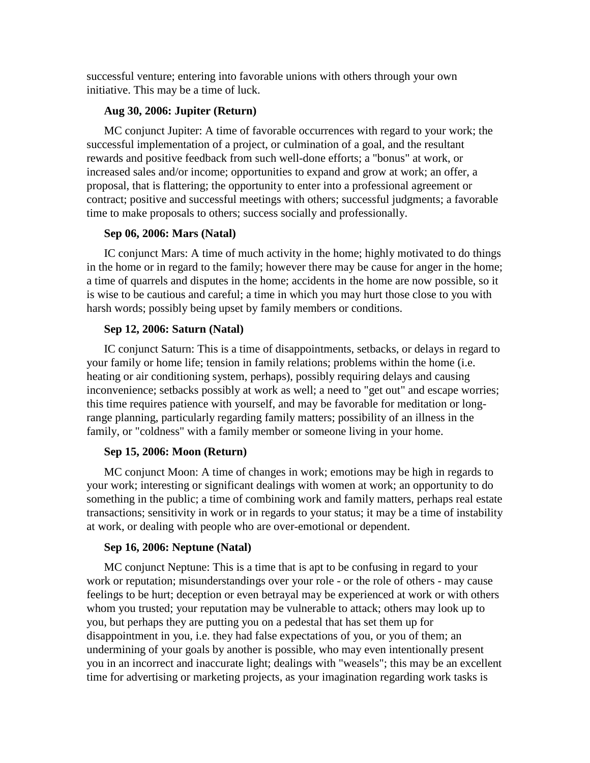successful venture; entering into favorable unions with others through your own initiative. This may be a time of luck.

# **Aug 30, 2006: Jupiter (Return)**

MC conjunct Jupiter: A time of favorable occurrences with regard to your work; the successful implementation of a project, or culmination of a goal, and the resultant rewards and positive feedback from such well-done efforts; a "bonus" atwork, or increased sales and/or income; opportunities to expand and grow at work; an offer, a proposal, that is flattering; the opportunity to enter into a professional agreement or contract; positive and successful meetings with others; successful judgments; a favorable time to make proposals to others; success socially and professionally.

# **Sep 06, 2006: Mars (Natal)**

IC conjunct Mars: A time of much activity in the home; highly motivated to do things in the home or in regard to the family; however there may be cause for anger in the home; a time of quarrels and disputes in the home; accidents in the home are now possible, so it is wise to be cautious and careful; a time in which you may hurt those close to you with harsh words; possibly being upset by family members or conditions.

# **Sep 12, 2006: Saturn (Natal)**

IC conjunct Saturn: This is a time of disappointments, setbacks, or delays in regard to your family or home life; tension in family relations; problems within the home (i.e. heating or air conditioning system, perhaps), possibly requiring delays and causing inconvenience; setbacks possibly at work as well; a need to "get out" and escape worries; this time requires patience with yourself, and may be favorable for meditation or longrange planning, particularly regarding family matters; possibility of an illness in the family, or "coldness" with a family member or someone living in your home.

# **Sep 15, 2006: Moon (Return)**

MC conjunct Moon: A time of changes in work; emotions may be high in regards to your work; interesting or significant dealings with women at work; an opportunity to do something in the public; a time of combining work and family matters, perhaps real estate transactions; sensitivity in work or in regards to your status; it may be a time of instability at work, or dealing with people who are over-emotional or dependent.

# **Sep 16, 2006: Neptune (Natal)**

MC conjunct Neptune: This is a time that is apt to be confusing in regard to your work or reputation; misunderstandings over your role - or the role of others - may cause feelings to be hurt; deception or even betrayal may be experienced at work or with others whom you trusted; your reputation may be vulnerable to attack; others may look up to you, but perhaps they are putting you on a pedestal that has set them up for disappointment in you, i.e. they had false expectations of you, or you of them; an undermining of your goals by another is possible, who may even intentionally present you in an incorrect and inaccurate light; dealings with "weasels"; this may be an excellent time for advertising or marketing projects, as your imagination regarding work tasks is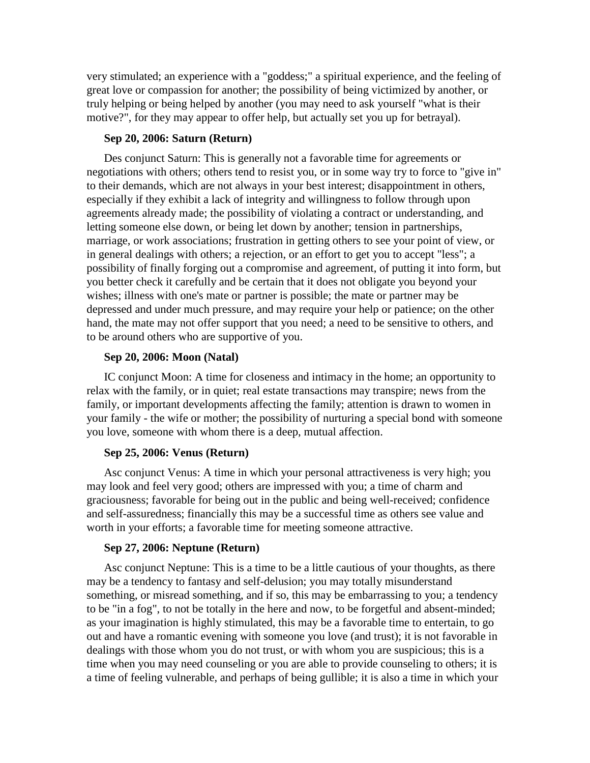very stimulated; an experience with a "goddess;" a spiritual experience, and the feeling of great love or compassion for another; the possibility of being victimized by another, or truly helping or being helped by another (you may need to ask yourself "what is their motive?", for they may appear to offer help, but actually set you up for betrayal).

# **Sep 20, 2006: Saturn (Return)**

Des conjunct Saturn: This is generally not a favorable time for agreements or negotiations with others; others tend to resist you, or in some way try to force to "give in" to their demands, which are not always in your best interest; disappointment in others, especially if they exhibit a lack of integrity and willingness to follow through upon agreements already made; the possibility of violating a contract or understanding, and letting someone else down, or being let down by another; tension in partnerships, marriage, or work associations; frustration in getting others to see your point of view, or in general dealings with others; a rejection, or an effort to get you to accept "less"; a possibility of finally forging out a compromise and agreement, of putting it into form, but you better check it carefully and be certain that it does not obligate you beyond your wishes; illness with one's mate or partner is possible; the mate or partner may be depressed and under much pressure, and may require your help or patience; on the other hand, the mate may not offer support that you need; a need to be sensitive to others, and to be around others who are supportive of you.

# **Sep 20, 2006: Moon (Natal)**

IC conjunct Moon: A time for closeness and intimacy in the home; an opportunity to relax with the family, or in quiet; real estate transactions may transpire; news from the family, or important developments affecting the family; attention is drawn to women in your family - the wife or mother; the possibility of nurturing a special bond with someone you love, someone with whom there is a deep, mutual affection.

#### **Sep 25, 2006: Venus (Return)**

Asc conjunct Venus: A time in which your personal attractiveness is very high; you may look and feel very good; others are impressed with you; a time of charm and graciousness; favorable for being out in the public and being well-received; confidence and self-assuredness; financially this may be a successful time as others see value and worth in your efforts; a favorable time for meeting someone attractive.

#### **Sep 27, 2006: Neptune (Return)**

Asc conjunct Neptune: This is a time to be a little cautious of your thoughts, as there may be a tendency to fantasy and self-delusion; you may totally misunderstand something, or misread something, and if so, this may be embarrassing to you; a tendency to be "in a fog", to not be totally in the here and now, to be forgetful and absent-minded; as your imagination is highly stimulated, this may be a favorable time to entertain, to go out and have a romantic evening with someone you love (and trust); it is not favorable in dealings with those whom you do not trust, or with whom you are suspicious; this is a time when you may need counseling or you are able to provide counseling to others; it is a time of feeling vulnerable, and perhaps of being gullible; it is also a time in which your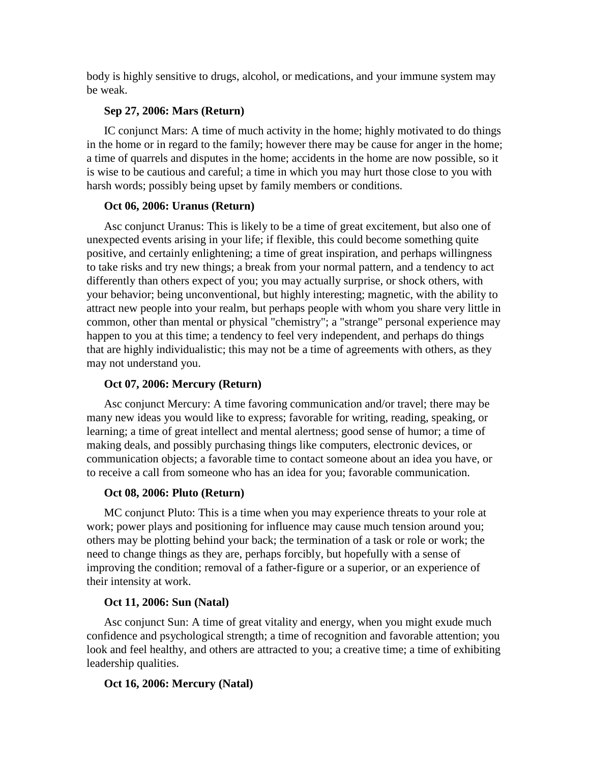body is highly sensitive to drugs, alcohol, or medications, and your immune system may be weak.

# **Sep 27, 2006: Mars (Return)**

IC conjunct Mars: A time of much activity in the home; highly motivated to do things in the home or in regard to the family; however there may be cause for anger in the home; a time of quarrels and disputes in the home; accidents in the home are now possible, so it is wise to be cautious and careful; a time in which you may hurt those close to you with harsh words; possibly being upset by family members or conditions.

# **Oct 06, 2006: Uranus (Return)**

Asc conjunct Uranus: This is likely to be a time of great excitement, but also one of unexpected events arising in your life; if flexible, this could become something quite positive, and certainly enlightening; a time of great inspiration, and perhaps willingness to take risks and try new things; a break from your normal pattern, and a tendency to act differently than others expect of you; you may actually surprise, or shock others, with your behavior; being unconventional, but highly interesting; magnetic, with the ability to attract new people into your realm, but perhaps people with whom you share very little in common, other than mental or physical "chemistry"; a "strange" personal experience may happen to you at this time; a tendency to feel very independent, and perhaps do things that are highly individualistic; this may not be a time of agreements with others, as they may not understand you.

# **Oct 07, 2006: Mercury (Return)**

Asc conjunct Mercury: A time favoring communication and/or travel; there may be many new ideas you would like to express; favorable for writing, reading, speaking, or learning; a time of great intellect and mental alertness; good sense of humor; a time of making deals, and possibly purchasing things like computers, electronic devices, or communication objects; a favorable time to contact someone about an idea you have, or to receive a call from someone who has an idea for you; favorable communication.

# **Oct 08, 2006: Pluto (Return)**

MC conjunct Pluto: This is a time when you may experience threats to your role at work; power plays and positioning for influence may cause much tension around you; others may be plotting behind your back; the termination of a task or role or work; the need to change things as they are, perhaps forcibly, but hopefully with a sense of improving the condition; removal of a father-figure or a superior, or an experience of their intensity at work.

# **Oct 11, 2006: Sun (Natal)**

Asc conjunct Sun: A time of great vitality and energy, when you might exude much confidence and psychological strength; a time of recognition and favorable attention; you look and feel healthy, and others are attracted to you; a creative time; a time of exhibiting leadership qualities.

# **Oct 16, 2006: Mercury (Natal)**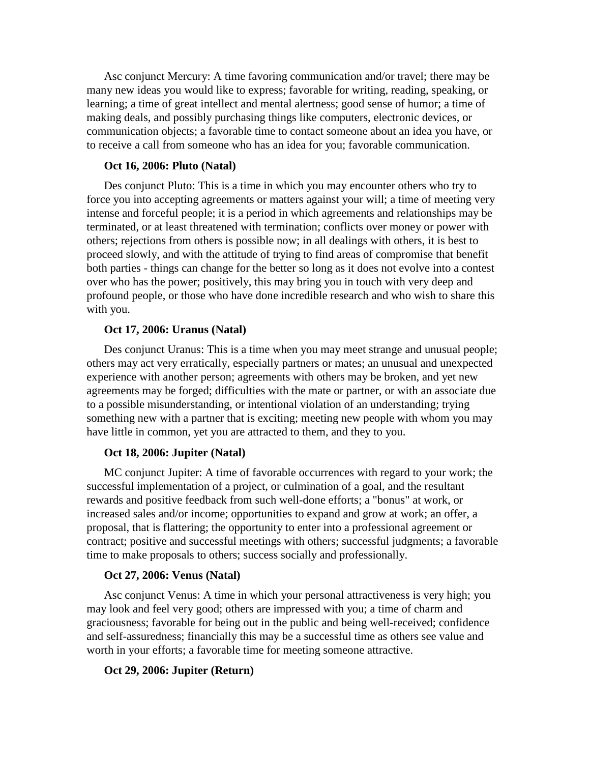Asc conjunct Mercury: A time favoring communication and/or travel; there may be many new ideas you would like to express; favorable for writing, reading, speaking, or learning; a time of great intellect and mental alertness; good sense of humor; a time of making deals, and possibly purchasing things like computers, electronic devices, or communication objects; a favorable time to contact someone about an idea you have, or to receive a call from someone who has an idea for you; favorable communication.

# **Oct 16, 2006: Pluto (Natal)**

Des conjunct Pluto: This is a time in which you may encounter others who try to force you into accepting agreements or matters against your will; a time of meeting very intense and forceful people; it is a period in which agreements and relationships may be terminated, or at least threatened with termination; conflicts over money or power with others; rejections from others is possible now; in all dealings with others, it is best to proceed slowly, and with the attitude of trying to find areas of compromise that benefit both parties - things can change for the better so long as it does not evolve into a contest over who has the power; positively, this may bring you in touch with very deep and profound people, or those who have done incredible research and who wish to share this with you.

# **Oct 17, 2006: Uranus (Natal)**

Des conjunct Uranus: This is a time when you may meet strange and unusual people; others may act very erratically, especially partners or mates; an unusual and unexpected experience with another person; agreements with others may be broken, and yet new agreements may be forged; difficulties with the mate or partner, or with an associate due to a possible misunderstanding, or intentional violation of an understanding; trying something new with a partner that is exciting; meeting new people with whom you may have little in common, yet you are attracted to them, and they to you.

#### **Oct 18, 2006: Jupiter (Natal)**

MC conjunct Jupiter: A time of favorable occurrences with regard to your work; the successful implementation of a project, or culmination of a goal, and the resultant rewards and positive feedback from such well-done efforts; a "bonus" atwork, or increased sales and/or income; opportunities to expand and grow at work; an offer, a proposal, that is flattering; the opportunity to enter into a professional agreement or contract; positive and successful meetings with others; successful judgments; a favorable time to make proposals to others; success socially and professionally.

#### **Oct 27, 2006: Venus (Natal)**

Asc conjunct Venus: A time in which your personal attractiveness is very high; you may look and feel very good; others are impressed with you; a time of charm and graciousness; favorable for being out in the public and being well-received; confidence and self-assuredness; financially this may be a successful time as others see value and worth in your efforts; a favorable time for meeting someone attractive.

#### **Oct 29, 2006: Jupiter (Return)**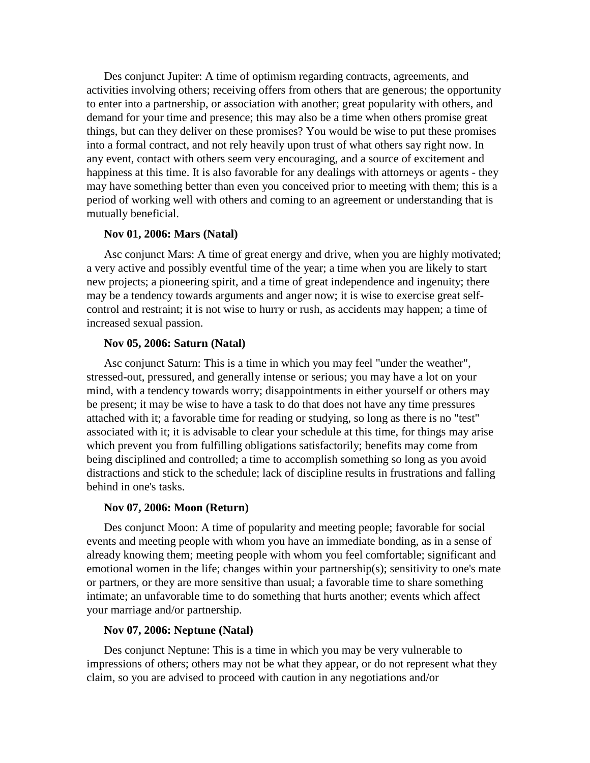Des conjunct Jupiter: A time of optimism regarding contracts, agreements, and activities involving others; receiving offers from others that are generous; the opportunity to enter into a partnership, or association with another; great popularity with others, and demand for your time and presence; this may also be a time when others promise great things, but can they deliver on these promises? You would be wise to put these promises into a formal contract, and not rely heavily upon trust of what others say right now. In any event, contact with others seem veryencouraging, and a source of excitement and happiness at this time. It is also favorable for any dealings with attorneys or agents - they may have something better than even you conceived prior to meeting with them; this is a period of working well with others and coming to an agreement or understanding that is mutually beneficial.

# **Nov 01, 2006: Mars (Natal)**

Asc conjunct Mars: A time of great energy and drive, when you are highly motivated; a very active and possibly eventful time of the year; a time when you are likely to start new projects; a pioneering spirit, and a time of great independence and ingenuity; there may be a tendency towards arguments and anger now; it is wise to exercise great self control and restraint; it is not wise to hurry or rush, as accidents may happen; a time of increased sexual passion.

#### **Nov 05, 2006: Saturn (Natal)**

Asc conjunct Saturn: This is a time in which you may feel "under the weather", stressed-out, pressured, and generally intense or serious; you may have a lot on your mind, with a tendency towards worry; disappointments in either yourself or others may be present; it may be wise to have a task to do that does not have any time pressures attached with it; a favorable time for reading or studying, so long as there is no "test" associated with it; it is advisable to clear your schedule at this time, for things may arise which prevent you from fulfilling obligations satisfactorily; benefits may come from being disciplined and controlled; a time to accomplish something so long as you avoid distractions and stick to the schedule; lack of discipline results in frustrations and falling behind in one's tasks.

# **Nov 07, 2006: Moon (Return)**

Des conjunct Moon: A time of popularity and meeting people; favorable for social events and meeting people with whom you have an immediate bonding, as in a sense of already knowing them; meeting people with whom you feel comfortable; significant and emotional women in the life; changes within your partnership(s); sensitivity to one's mate or partners, or they are more sensitive than usual; a favorable time to share something intimate; an unfavorable time to do something that hurts another; events which affect your marriage and/or partnership.

#### **Nov 07, 2006: Neptune (Natal)**

Des conjunct Neptune: This is a time in which you may be very vulnerable to impressions of others; others may not be what they appear, or do not represent what they claim, so you are advised to proceed with caution in any negotiations and/or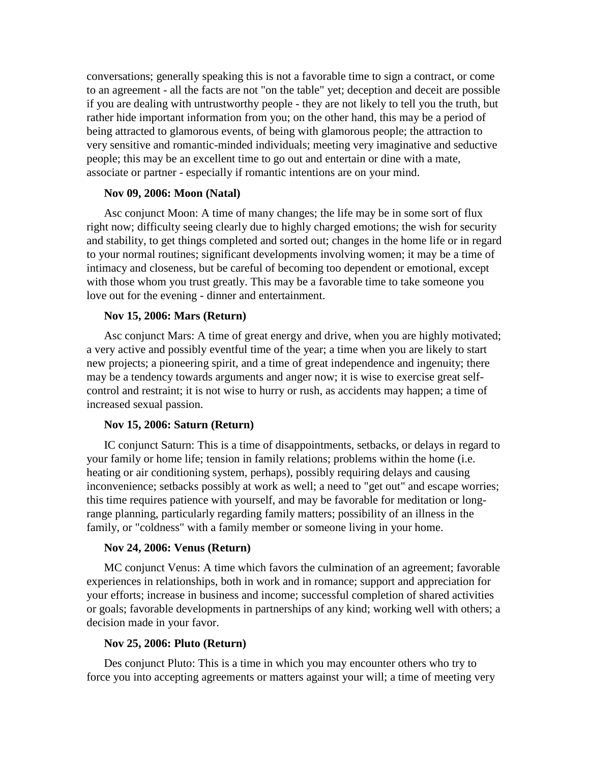conversations; generally speaking this is not a favorable time to sign a contract, or come to an agreement - all the facts are not "on the table" yet; deception and deceit are possible if you are dealing with untrustworthy people - they are not likely to tell you the truth, but rather hide important information from you; on the other hand, this may be a period of being attracted to glamorous events, of being with glamorous people; the attraction to very sensitive and romantic-minded individuals; meeting very imaginative and seductive people; this may be an excellent time to go out and entertain or dine with a mate, associate or partner - especially if romantic intentions are on your mind.

# **Nov 09, 2006: Moon (Natal)**

Asc conjunct Moon: A time of many changes; the life may be in some sort of flux right now; difficulty seeing clearly due to highly charged emotions; the wish for security and stability, to get things completed and sorted out; changes in the home life or in regard to your normal routines; significant developments involving women; it may be a time of intimacy and closeness, but be careful of becoming too dependent or emotional, except with those whom you trust greatly. This may be a favorable time to take someone you love out for the evening - dinner and entertainment.

# **Nov 15, 2006: Mars (Return)**

Asc conjunct Mars: A time of great energy and drive, when you are highly motivated; a very active and possibly eventful time of the year; a time when you are likely to start new projects; a pioneering spirit, and a time of great independence and ingenuity; there may be a tendency towards arguments and anger now; it is wise to exercise great self control and restraint; it is not wise to hurry or rush, as accidents may happen; a time of increased sexual passion.

#### **Nov 15, 2006: Saturn (Return)**

IC conjunct Saturn: This is a time of disappointments, setbacks, or delays in regard to your family or home life; tension in family relations; problems within the home (i.e. heating or air conditioning system, perhaps), possibly requiring delays and causing inconvenience; setbacks possibly at work as well; a need to "get out" and escape worries; this time requires patience with yourself, and may be favorable for meditation or longrange planning, particularly regarding family matters; possibility of an illness in the family, or "coldness" with a family member or someone living in your home.

#### **Nov 24, 2006: Venus (Return)**

MC conjunct Venus: A time which favors the culmination of an agreement; favorable experiences in relationships, both in work and in romance; support and appreciation for your efforts; increase in business and income; successful completion of shared activities or goals; favorable developments in partnerships of any kind; working well with others; a decision made in your favor.

#### **Nov 25, 2006: Pluto (Return)**

Des conjunct Pluto: This is a time in which you may encounter others who try to force you into accepting agreements or matters against your will; a time of meeting very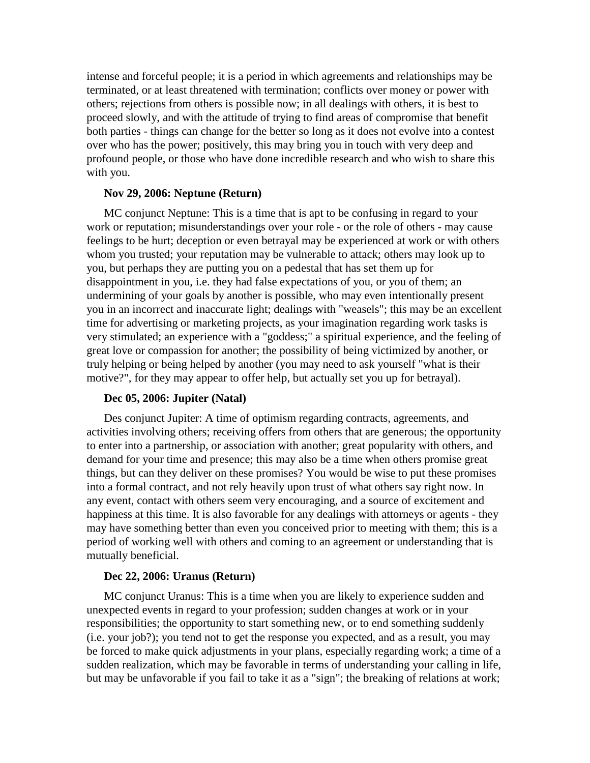intense and forceful people; it is a period in which agreements and relationships may be terminated, or at least threatened with termination; conflicts over money or power with others; rejections from others is possible now; in all dealings with others, it is best to proceed slowly, and with the attitude of trying to find areas of compromise that benefit both parties - things can change for the better so long as itdoes not evolve into a contest over who has the power; positively, this may bring you in touch with very deep and profound people, or those who have done incredible research and who wish to share this with you.

# **Nov 29, 2006: Neptune (Return)**

MC conjunct Neptune: This is a time that is apt to be confusing in regard to your work or reputation; misunderstandings over your role - or the role of others - may cause feelings to be hurt; deception or even betrayal may be experienced at work or with others whom you trusted; your reputation may be vulnerable to attack; others may look up to you, but perhaps they are putting you on a pedestal that has set them up for disappointment in you, i.e. they had false expectations of you, or you of them; an undermining of your goals by another is possible, who may even intentionally present you in an incorrect and inaccurate light; dealings with "weasels"; this may be an excellent time for advertising or marketing projects, as your imagination regarding work tasks is very stimulated; an experience with a "goddess;" a spiritual experience, and the feeling of great love or compassion for another; the possibility of being victimized by another, or truly helping or being helped by another (you may need to ask yourself "what is their motive?", for they may appear to offer help, but actually set you up for betrayal).

# **Dec 05, 2006: Jupiter (Natal)**

Des conjunct Jupiter: A time of optimism regarding contracts, agreements, and activities involving others; receiving offers from others that are generous; the opportunity to enter into a partnership, or association with another; great popularity with others, and demand for your time and presence; this may also be a time when others promise great things, but can they deliver on these promises? You would be wise to put these promises into a formal contract, and not rely heavily upon trust of what others say right now. In any event, contact with others seem veryencouraging, and a source of excitement and happiness at this time. It is also favorable for any dealings with attorneys or agents - they may have something better than even you conceived prior to meeting with them; this is a period of working well with others and coming to an agreement or understanding that is mutually beneficial.

# **Dec 22, 2006: Uranus (Return)**

MC conjunct Uranus: This is a time when you are likely to experience sudden and unexpected events in regard to your profession; sudden changes at work or in your responsibilities; the opportunity to start something new, or to end something suddenly (i.e. your job?); you tend not to get the response you expected, and as a result, you may be forced to make quick adjustments in your plans, especially regarding work; a time of a sudden realization, which may be favorable in terms of understanding your calling in life, but may be unfavorable if you fail to take it as a "sign"; the breaking of relations at work;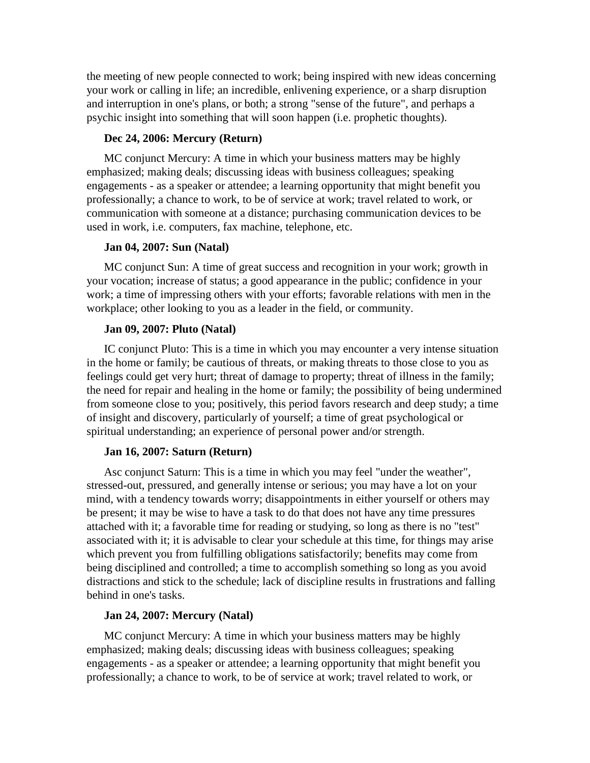the meeting of new people connected to work; being inspired with new ideas concerning your work or calling in life; an incredible, enlivening experience, or a sharp disruption and interruption in one's plans, or both; a strong "sense of the future", and perhaps a psychic insight into something that will soon happen (i.e. prophetic thoughts).

# **Dec 24, 2006: Mercury (Return)**

MC conjunct Mercury: A time in which your business matters may be highly emphasized; making deals; discussing ideas with business colleagues; speaking engagements - as a speaker or attendee; a learning opportunity that might benefit you professionally; a chance to work, to be of service at work; travel related to work, or communication with someone at a distance; purchasing communication devices to be used in work, i.e. computers, fax machine, telephone, etc.

# **Jan 04, 2007: Sun (Natal)**

MC conjunct Sun: A time of great success and recognition in your work; growth in your vocation; increase of status; a good appearance in the public; confidence in your work; a time of impressing others with your efforts; favorable relations with men in the workplace; other looking to you as a leader in the field, or community.

#### **Jan 09, 2007: Pluto (Natal)**

IC conjunct Pluto: This is a time in which you may encounter a very intense situation in the home or family; be cautious of threats, or making threats to those close to you as feelings could get very hurt; threat of damage to property; threat of illness in the family; the need for repair and healing in the home or family; the possibility of being undermined from someone close to you; positively, this period favors research and deep study; a time of insight and discovery, particularly of yourself; a time of great psychological or spiritual understanding; an experience of personal power and/or strength.

#### **Jan 16, 2007: Saturn (Return)**

Asc conjunct Saturn: This is a time in which you may feel "under the weather", stressed-out, pressured, and generally intense or serious; you may have a lot on your mind, with a tendency towards worry; disappointments in either yourself or others may be present; it may be wise to have a task to do that does not have any time pressures attached with it; a favorable time for reading or studying, so long as there is no "test" associated with it; it is advisable to clear your schedule at this time, for things may arise which prevent you from fulfilling obligations satisfactorily; benefits may come from being disciplined and controlled; a time to accomplish something so long as you avoid distractions and stick to the schedule; lack of discipline results in frustrations and falling behind in one's tasks.

# **Jan 24, 2007: Mercury (Natal)**

MC conjunct Mercury: A time in which your business matters may be highly emphasized; making deals; discussing ideas with business colleagues; speaking engagements - as a speaker or attendee; a learning opportunity that might benefit you professionally; a chance to work, to be of service at work; travel related to work, or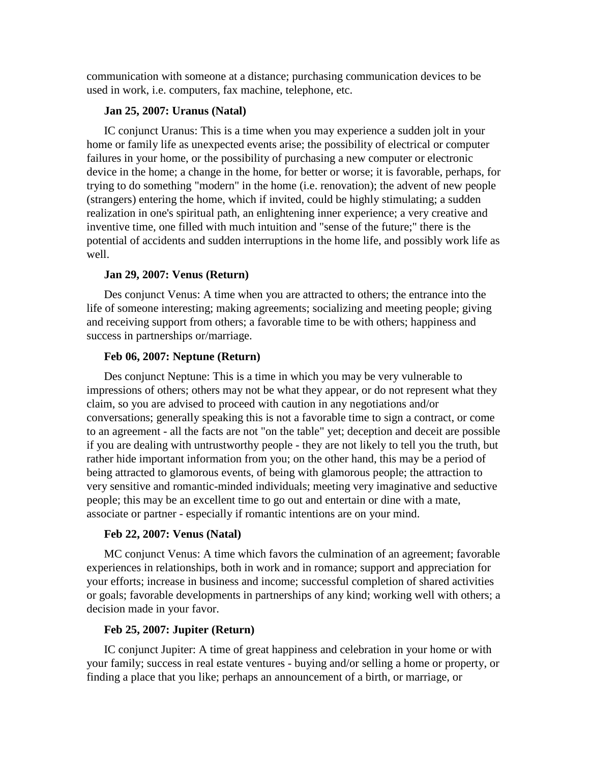communication with someone at a distance; purchasing communication devices to be used in work, i.e. computers, fax machine, telephone, etc.

# **Jan 25, 2007: Uranus (Natal)**

IC conjunct Uranus: This is a time when you may experience a sudden jolt in your home or family life as unexpected events arise; the possibility of electrical or computer failures in your home, or the possibility of purchasing a new computer or electronic device in the home; a change in the home, for better or worse; it is favorable, perhaps, for trying to do something "modern" in the home (i.e. renovation); the advent of new people (strangers) entering the home, which if invited, could be highly stimulating; a sudden realization in one's spiritual path, an enlightening inner experience; a very creative and inventive time, one filled with much intuition and "sense of the future;" there is the potential of accidents and sudden interruptions in the home life, and possibly work life as well.

# **Jan 29, 2007: Venus (Return)**

Des conjunct Venus: A timewhen you are attracted to others; the entrance into the life of someone interesting; making agreements; socializing and meeting people; giving and receiving support from others; a favorable time to be with others; happiness and success in partnerships or/marriage.

# **Feb 06, 2007: Neptune (Return)**

Des conjunct Neptune: This is a time in which you may be very vulnerable to impressions of others; others may not be what they appear, or do not represent what they claim, so you are advised to proceed with caution in any negotiations and/or conversations; generally speaking this is not a favorable time to sign a contract, or come to an agreement - all the facts are not "on the table" yet; deception and deceit are possible if you are dealing with untrustworthy people - they are not likely to tell you the truth, but rather hide important information from you; on the other hand, this may be a period of being attracted to glamorous events, of being with glamorous people; the attraction to very sensitive and romantic-minded individuals; meeting very imaginative and seductive people; this may be an excellent time to go out and entertain or dine with a mate, associate or partner - especially if romantic intentions are on your mind.

# **Feb 22, 2007: Venus (Natal)**

MC conjunct Venus: A timewhich favors the culmination of an agreement; favorable experiences in relationships, both in work and in romance; support and appreciation for your efforts; increase in business and income; successful completion of shared activities or goals; favorable developments in partnerships of any kind; working well with others; a decision made in your favor.

# **Feb 25, 2007: Jupiter (Return)**

IC conjunct Jupiter: A time of great happiness and celebration in your home or with your family; success in real estate ventures - buying and/or selling a home or property, or finding a place that you like; perhaps an announcement of a birth, or marriage, or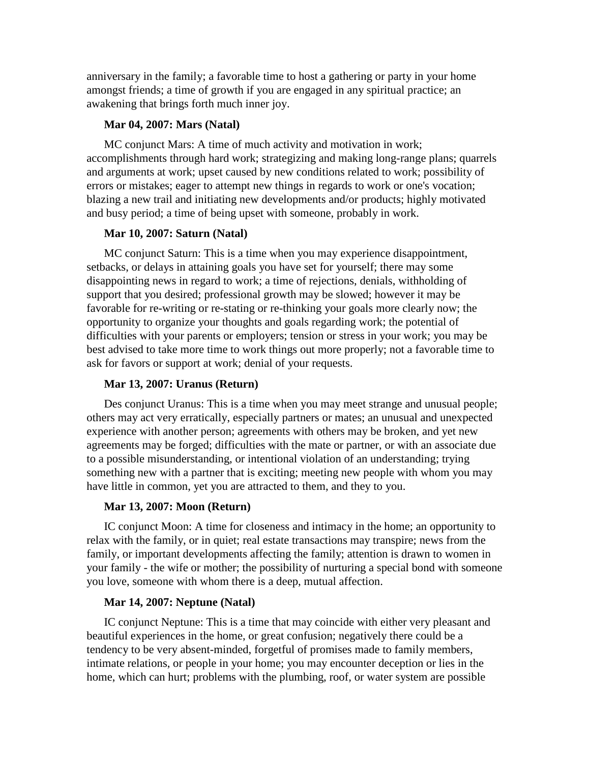anniversary in the family; a favorable time to host a gathering or party in your home amongst friends; a time of growth if you are engaged in any spiritual practice; an awakening that brings forth much inner joy.

# **Mar 04, 2007: Mars (Natal)**

MC conjunct Mars: A time of much activity and motivation in work; accomplishments through hard work; strategizing and making long-range plans; quarrels and arguments at work; upset caused by new conditions related to work; possibility of errors or mistakes; eager to attempt new things in regards to work or one's vocation; blazing a new trail and initiating new developments and/or products; highly motivated and busy period; a time of being upset with someone, probably in work.

# **Mar 10, 2007: Saturn (Natal)**

MC conjunct Saturn: This is a time when you may experience disappointment, setbacks, or delays in attaining goals you have set for yourself; there may some disappointing news in regard to work; a time of rejections, denials, withholding of support that you desired; professional growth may be slowed; however it may be favorable for re-writing or re-stating or re-thinking your goals more clearly now; the opportunity to organize your thoughts and goals regarding work; the potential of difficulties with your parents or employers; tension or stress in your work; you may be best advised to take more time to work things out more properly; not a favorable time to ask for favors or support at work; denial of your requests.

# **Mar 13, 2007: Uranus (Return)**

Des conjunct Uranus: This is a time when you may meet strange and unusual people; others may act very erratically, especially partners or mates; an unusual and unexpected experience with another person; agreements with others may be broken, and yet new agreements may be forged; difficulties with the mate or partner, or with an associate due to a possible misunderstanding, or intentional violation of an understanding; trying something new with a partner that is exciting; meeting new people with whom you may have little in common, yet you are attracted to them, and they to you.

#### **Mar 13, 2007: Moon (Return)**

IC conjunct Moon: A time for closeness and intimacy in the home; an opportunity to relax with the family, or in quiet; real estate transactions may transpire; news from the family, or important developments affecting the family; attention is drawn to women in your family - the wife or mother; the possibility of nurturing a special bond with someone you love, someone with whom there is a deep, mutual affection.

#### **Mar 14, 2007: Neptune (Natal)**

IC conjunct Neptune: This is a time that may coincide with either very pleasant and beautiful experiences in the home, or great confusion; negatively there could be a tendency to be very absent-minded, forgetful of promises made to family members, intimate relations, or people in your home; you may encounter deception or lies in the home, which can hurt; problems with the plumbing, roof, or water system are possible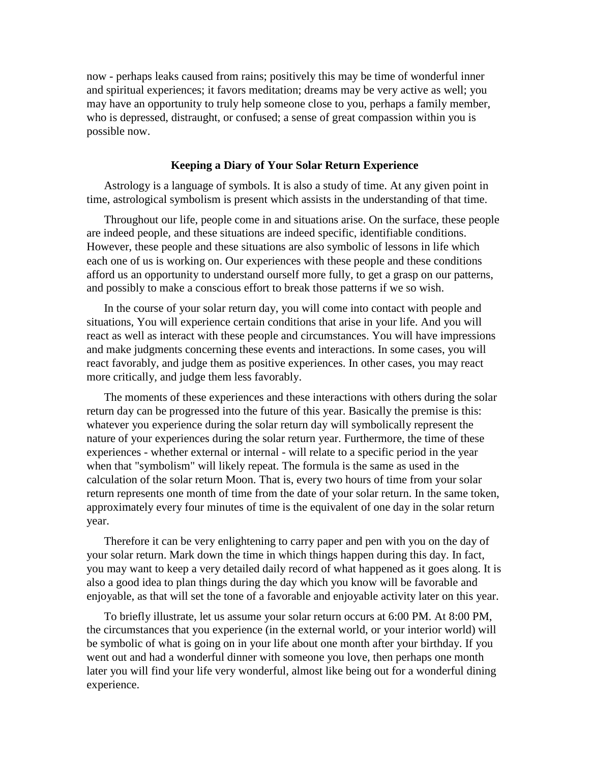now - perhaps leaks caused from rains; positively this may be time of wonderful inner and spiritual experiences; it favors meditation; dreams may be very active as well; you may have an opportunity to truly help someone close to you, perhaps a family member, who is depressed, distraught, or confused; a sense of great compassion within you is possible now.

#### **Keeping a Diary of Your Solar Return Experience**

Astrology is a language of symbols. It is also a study of time. At any given point in time, astrological symbolism is present which assists in the understanding of that time.

Throughout our life, people come in and situations arise. On the surface, these people are indeed people, and these situations are indeed specific, identifiable conditions. However, these people and these situations are also symbolic of lessons in life which each one of us is working on. Our experiences with these people and these conditions afford us an opportunity to understand ourself more fully, to get a grasp on our patterns, and possibly to make a conscious effort to break those patterns if we so wish.

In the course of your solar return day, you will come into contact with people and situations, You will experience certain conditions that arise in your life. And you will react as well as interact with these people and circumstances. You will have impressions and make judgments concerning these events and interactions. In some cases, you will react favorably, and judge them as positive experiences. In other cases, you may react more critically, and judge them less favorably.

The moments of these experiences and these interactions with others during the solar return day can be progressed into the future of this year. Basically the premise is this: whatever you experience during the solar return day will symbolically represent the nature of your experiences during the solar return year. Furthermore, the time of these experiences - whether external or internal - will relate to a specific period in the year when that "symbolism" will likely repeat. The formula is the same as used in the calculation of the solar return Moon. That is, every two hours of time from your solar return represents one month of time from the date of your solar return. In the same token, approximately every four minutes of time is the equivalent of one day in the solar return year.<br>Therefore it can be very enlightening to carry paper and pen with you on the day of

your solar return. Mark down the time in which things happen during this day. In fact, you may want to keep a very detailed daily record of what happened as itgoes along. It is also a good idea to plan things during the day which you know will be favorable and enjoyable, as that will set the tone of a favorable and enjoyable activity later on this year.

To briefly illustrate, let us assume your solar return occurs at 6:00 PM. At 8:00 PM, the circumstances that you experience (in the external world, or your interior world) will be symbolic of what is going on in your life about one month after your birthday. If you went out and had a wonderful dinner with someone you love, then perhaps one month later you will find your life very wonderful, almost like being out for a wonderful dining experience.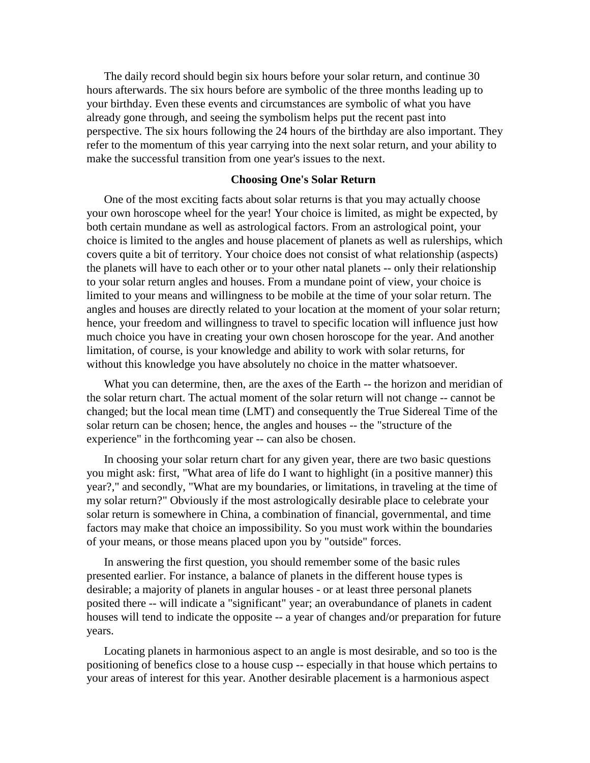The daily record should begin six hours before your solar return, and continue 30 hours afterwards. The six hours before are symbolic of the three months leading up to your birthday. Even these events and circumstances are symbolic of what you have already gone through, and seeing the symbolism helps put the recent past into perspective. The six hours following the 24 hours of the birthday are also important. They refer to the momentum of this year carrying into the next solar return, and your ability to make the successful transition from one year's issues to the next.

# **Choosing One's Solar Return**

One of the most exciting facts about solar returns is that you may actually choose your own horoscope wheel for the year! Your choice is limited, as might be expected, by both certain mundane as well as astrological factors. From an astrological point, your choice is limited to the angles and house placement of planets as well as rulerships, which covers quite a bit of territory. Your choice does not consist of what relationship (aspects) the planets will have to each other or to your other natal planets -- only their relationship to your solar return angles and houses. From a mundane point of view, your choice is limited to your means and willingness to be mobile at the time of your solar return. The angles and houses are directly related to your location at the moment of your solar return; hence, your freedom and willingness to travel to specific location will influence just how much choice you have in creating your own chosen horoscope for the year. And another limitation, of course, is your knowledge and ability to work with solar returns, for without this knowledge you have absolutely no choice in the matter whatsoever.

What you can determine, then, are the axes of the Earth -- the horizon and meridian of the solar return chart. The actual moment of the solar return will not change -- cannot be changed; but the local mean time (LMT) and consequently the True Sidereal Time of the solar return can be chosen; hence, the angles and houses -- the "structure of the experience" in the forthcoming year -- can also be chosen.

In choosing your solar return chart for any given year, there are two basic questions you might ask: first, "What area of life do I want to highlight (in a positive manner) this year?," and secondly, "What are my boundaries, or limitations, in traveling at the time of my solar return?" Obviously if the most astrologically desirable place to celebrate your solar return is somewhere in China, a combination of financial, governmental, and time factors may make that choice an impossibility. So you must work within the boundaries of your means, or those means placed upon you by "outside" forces.

In answering the first question, you should remember some of the basic rules presented earlier. For instance, a balance of planets in the different house types is desirable; a majority of planets in angular houses - or at least three personal planets posited there -- will indicate a "significant" year; an overabundance of planets in cadent houses will tend to indicate the opposite -- a year of changes and/or preparation for future years.

Locating planets in harmonious aspect to an angle is most desirable, and so too is the positioning of benefics close to a house cusp -- especially in that house which pertains to your areas of interest for this year. Another desirable placement is a harmonious aspect